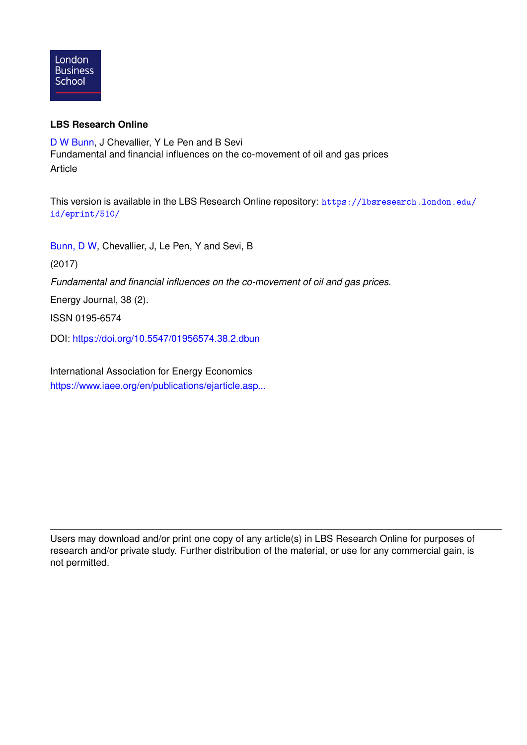

#### **LBS Research Online**

[D W Bunn,](https://lbsresearch.london.edu/view/lbs_authors/200683.html) J Chevallier, Y Le Pen and B Sevi Fundamental and financial influences on the co-movement of oil and gas prices Article

This version is available in the LBS Research Online repository: [https://lbsresearch.london.edu/](https://lbsresearch.london.edu/id/eprint/510/) [id/eprint/510/](https://lbsresearch.london.edu/id/eprint/510/)

[Bunn, D W,](https://lbsresearch.london.edu/view/lbs_authors/200683.html) Chevallier, J, Le Pen, Y and Sevi, B

(2017)

*Fundamental and financial influences on the co-movement of oil and gas prices.*

Energy Journal, 38 (2).

ISSN 0195-6574

DOI: <https://doi.org/10.5547/01956574.38.2.dbun>

International Association for Energy Economics [https://www.iaee.org/en/publications/ejarticle.asp...](https://www.iaee.org/en/publications/ejarticle.aspx?id=2883)

Users may download and/or print one copy of any article(s) in LBS Research Online for purposes of research and/or private study. Further distribution of the material, or use for any commercial gain, is not permitted.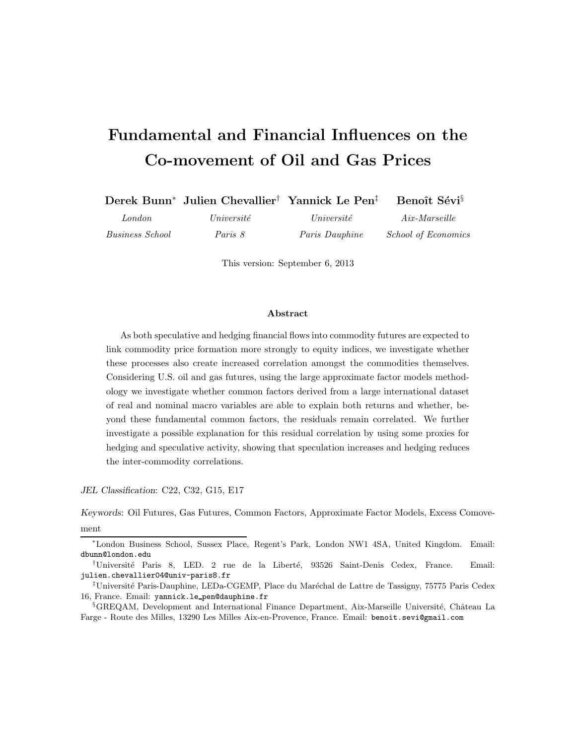# **Fundamental and Financial Influences on the Co-movement of Oil and Gas Prices**

|                        | Derek Bunn <sup>*</sup> Julien Chevallier <sup>†</sup> Yannick Le Pen <sup>‡</sup> |                       | Benoît Sévi <sup>§</sup>   |
|------------------------|------------------------------------------------------------------------------------|-----------------------|----------------------------|
| London                 | Université                                                                         | Université            | $Aix$ -Marseille           |
| <i>Business School</i> | Paris 8                                                                            | <i>Paris Dauphine</i> | <i>School of Economics</i> |

This version: September 6, 2013

#### **Abstract**

As both speculative and hedging financial flows into commodity futures are expected to link commodity price formation more strongly to equity indices, we investigate whether these processes also create increased correlation amongst the commodities themselves. Considering U.S. oil and gas futures, using the large approximate factor models methodology we investigate whether common factors derived from a large international dataset of real and nominal macro variables are able to explain both returns and whether, beyond these fundamental common factors, the residuals remain correlated. We further investigate a possible explanation for this residual correlation by using some proxies for hedging and speculative activity, showing that speculation increases and hedging reduces the inter-commodity correlations.

*JEL Classification*: C22, C32, G15, E17

*Keywords*: Oil Futures, Gas Futures, Common Factors, Approximate Factor Models, Excess Comove-

ment

<sup>∗</sup>London Business School, Sussex Place, Regent's Park, London NW1 4SA, United Kingdom. Email: dbunn@london.edu

<sup>&</sup>lt;sup>†</sup>Université Paris 8, LED. 2 rue de la Liberté, 93526 Saint-Denis Cedex, France. Email: julien.chevallier04@univ-paris8.fr

<sup>&</sup>lt;sup>‡</sup>Université Paris-Dauphine, LEDa-CGEMP, Place du Maréchal de Lattre de Tassigny, 75775 Paris Cedex 16, France. Email: yannick.le pen@dauphine.fr

<sup>&</sup>lt;sup>§</sup>GREQAM, Development and International Finance Department, Aix-Marseille Université, Château La Farge - Route des Milles, 13290 Les Milles Aix-en-Provence, France. Email: benoit.sevi@gmail.com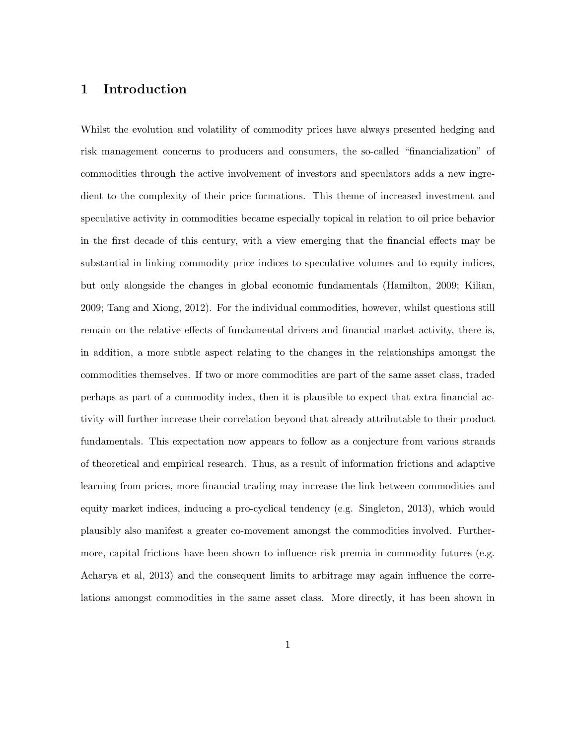#### **1 Introduction**

Whilst the evolution and volatility of commodity prices have always presented hedging and risk management concerns to producers and consumers, the so-called "financialization" of commodities through the active involvement of investors and speculators adds a new ingredient to the complexity of their price formations. This theme of increased investment and speculative activity in commodities became especially topical in relation to oil price behavior in the first decade of this century, with a view emerging that the financial effects may be substantial in linking commodity price indices to speculative volumes and to equity indices, but only alongside the changes in global economic fundamentals (Hamilton, 2009; Kilian, 2009; Tang and Xiong, 2012). For the individual commodities, however, whilst questions still remain on the relative effects of fundamental drivers and financial market activity, there is, in addition, a more subtle aspect relating to the changes in the relationships amongst the commodities themselves. If two or more commodities are part of the same asset class, traded perhaps as part of a commodity index, then it is plausible to expect that extra financial activity will further increase their correlation beyond that already attributable to their product fundamentals. This expectation now appears to follow as a conjecture from various strands of theoretical and empirical research. Thus, as a result of information frictions and adaptive learning from prices, more financial trading may increase the link between commodities and equity market indices, inducing a pro-cyclical tendency (e.g. Singleton, 2013), which would plausibly also manifest a greater co-movement amongst the commodities involved. Furthermore, capital frictions have been shown to influence risk premia in commodity futures (e.g. Acharya et al, 2013) and the consequent limits to arbitrage may again influence the correlations amongst commodities in the same asset class. More directly, it has been shown in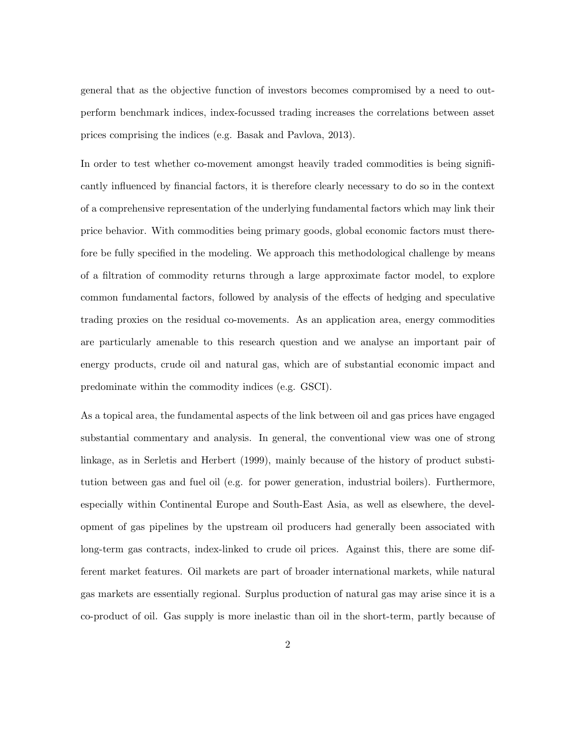general that as the objective function of investors becomes compromised by a need to outperform benchmark indices, index-focussed trading increases the correlations between asset prices comprising the indices (e.g. Basak and Pavlova, 2013).

In order to test whether co-movement amongst heavily traded commodities is being significantly influenced by financial factors, it is therefore clearly necessary to do so in the context of a comprehensive representation of the underlying fundamental factors which may link their price behavior. With commodities being primary goods, global economic factors must therefore be fully specified in the modeling. We approach this methodological challenge by means of a filtration of commodity returns through a large approximate factor model, to explore common fundamental factors, followed by analysis of the effects of hedging and speculative trading proxies on the residual co-movements. As an application area, energy commodities are particularly amenable to this research question and we analyse an important pair of energy products, crude oil and natural gas, which are of substantial economic impact and predominate within the commodity indices (e.g. GSCI).

As a topical area, the fundamental aspects of the link between oil and gas prices have engaged substantial commentary and analysis. In general, the conventional view was one of strong linkage, as in Serletis and Herbert (1999), mainly because of the history of product substitution between gas and fuel oil (e.g. for power generation, industrial boilers). Furthermore, especially within Continental Europe and South-East Asia, as well as elsewhere, the development of gas pipelines by the upstream oil producers had generally been associated with long-term gas contracts, index-linked to crude oil prices. Against this, there are some different market features. Oil markets are part of broader international markets, while natural gas markets are essentially regional. Surplus production of natural gas may arise since it is a co-product of oil. Gas supply is more inelastic than oil in the short-term, partly because of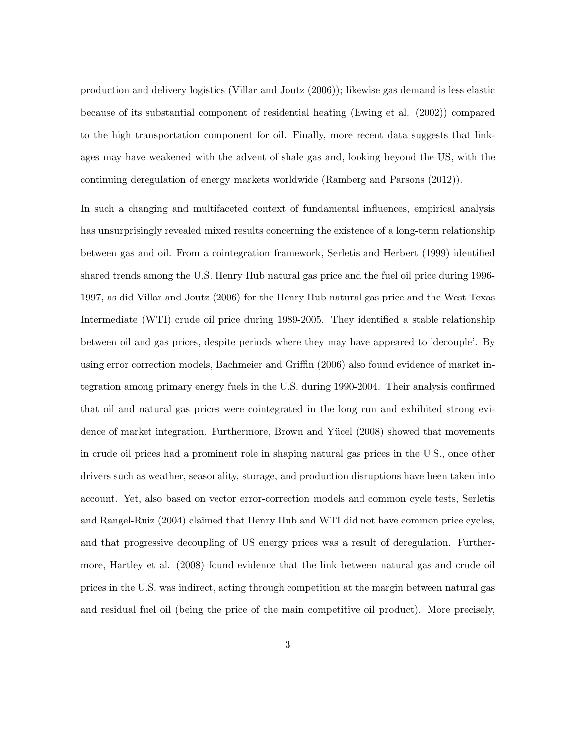production and delivery logistics (Villar and Joutz (2006)); likewise gas demand is less elastic because of its substantial component of residential heating (Ewing et al. (2002)) compared to the high transportation component for oil. Finally, more recent data suggests that linkages may have weakened with the advent of shale gas and, looking beyond the US, with the continuing deregulation of energy markets worldwide (Ramberg and Parsons (2012)).

In such a changing and multifaceted context of fundamental influences, empirical analysis has unsurprisingly revealed mixed results concerning the existence of a long-term relationship between gas and oil. From a cointegration framework, Serletis and Herbert (1999) identified shared trends among the U.S. Henry Hub natural gas price and the fuel oil price during 1996- 1997, as did Villar and Joutz (2006) for the Henry Hub natural gas price and the West Texas Intermediate (WTI) crude oil price during 1989-2005. They identified a stable relationship between oil and gas prices, despite periods where they may have appeared to 'decouple'. By using error correction models, Bachmeier and Griffin (2006) also found evidence of market integration among primary energy fuels in the U.S. during 1990-2004. Their analysis confirmed that oil and natural gas prices were cointegrated in the long run and exhibited strong evidence of market integration. Furthermore, Brown and Yücel (2008) showed that movements in crude oil prices had a prominent role in shaping natural gas prices in the U.S., once other drivers such as weather, seasonality, storage, and production disruptions have been taken into account. Yet, also based on vector error-correction models and common cycle tests, Serletis and Rangel-Ruiz (2004) claimed that Henry Hub and WTI did not have common price cycles, and that progressive decoupling of US energy prices was a result of deregulation. Furthermore, Hartley et al. (2008) found evidence that the link between natural gas and crude oil prices in the U.S. was indirect, acting through competition at the margin between natural gas and residual fuel oil (being the price of the main competitive oil product). More precisely,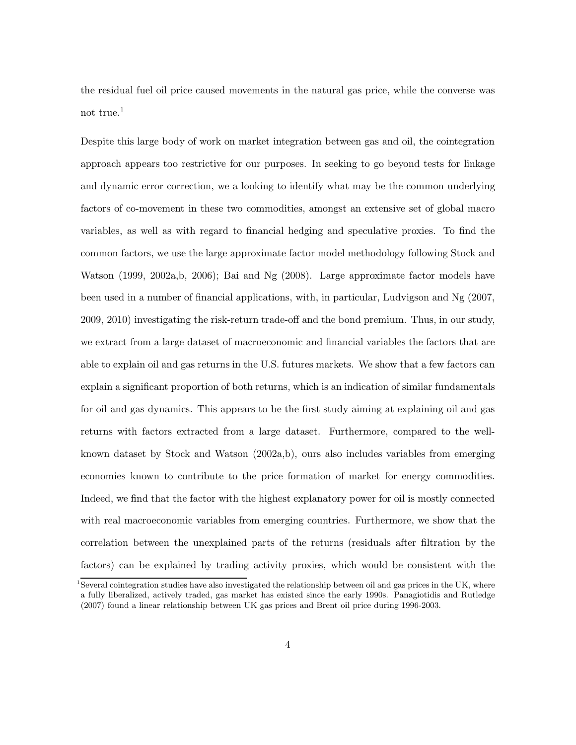the residual fuel oil price caused movements in the natural gas price, while the converse was not true.<sup>1</sup>

Despite this large body of work on market integration between gas and oil, the cointegration approach appears too restrictive for our purposes. In seeking to go beyond tests for linkage and dynamic error correction, we a looking to identify what may be the common underlying factors of co-movement in these two commodities, amongst an extensive set of global macro variables, as well as with regard to financial hedging and speculative proxies. To find the common factors, we use the large approximate factor model methodology following Stock and Watson (1999, 2002a,b, 2006); Bai and Ng (2008). Large approximate factor models have been used in a number of financial applications, with, in particular, Ludvigson and Ng (2007, 2009, 2010) investigating the risk-return trade-off and the bond premium. Thus, in our study, we extract from a large dataset of macroeconomic and financial variables the factors that are able to explain oil and gas returns in the U.S. futures markets. We show that a few factors can explain a significant proportion of both returns, which is an indication of similar fundamentals for oil and gas dynamics. This appears to be the first study aiming at explaining oil and gas returns with factors extracted from a large dataset. Furthermore, compared to the wellknown dataset by Stock and Watson (2002a,b), ours also includes variables from emerging economies known to contribute to the price formation of market for energy commodities. Indeed, we find that the factor with the highest explanatory power for oil is mostly connected with real macroeconomic variables from emerging countries. Furthermore, we show that the correlation between the unexplained parts of the returns (residuals after filtration by the factors) can be explained by trading activity proxies, which would be consistent with the

<sup>&</sup>lt;sup>1</sup>Several cointegration studies have also investigated the relationship between oil and gas prices in the UK, where a fully liberalized, actively traded, gas market has existed since the early 1990s. Panagiotidis and Rutledge (2007) found a linear relationship between UK gas prices and Brent oil price during 1996-2003.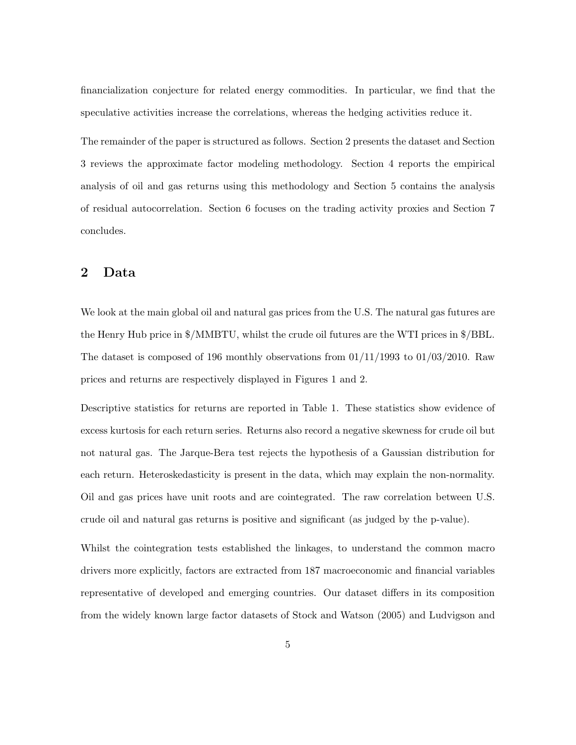financialization conjecture for related energy commodities. In particular, we find that the speculative activities increase the correlations, whereas the hedging activities reduce it.

The remainder of the paper is structured as follows. Section 2 presents the dataset and Section 3 reviews the approximate factor modeling methodology. Section 4 reports the empirical analysis of oil and gas returns using this methodology and Section 5 contains the analysis of residual autocorrelation. Section 6 focuses on the trading activity proxies and Section 7 concludes.

#### **2 Data**

We look at the main global oil and natural gas prices from the U.S. The natural gas futures are the Henry Hub price in \$/MMBTU, whilst the crude oil futures are the WTI prices in \$/BBL. The dataset is composed of 196 monthly observations from  $01/11/1993$  to  $01/03/2010$ . Raw prices and returns are respectively displayed in Figures 1 and 2.

Descriptive statistics for returns are reported in Table 1. These statistics show evidence of excess kurtosis for each return series. Returns also record a negative skewness for crude oil but not natural gas. The Jarque-Bera test rejects the hypothesis of a Gaussian distribution for each return. Heteroskedasticity is present in the data, which may explain the non-normality. Oil and gas prices have unit roots and are cointegrated. The raw correlation between U.S. crude oil and natural gas returns is positive and significant (as judged by the p-value).

Whilst the cointegration tests established the linkages, to understand the common macro drivers more explicitly, factors are extracted from 187 macroeconomic and financial variables representative of developed and emerging countries. Our dataset differs in its composition from the widely known large factor datasets of Stock and Watson (2005) and Ludvigson and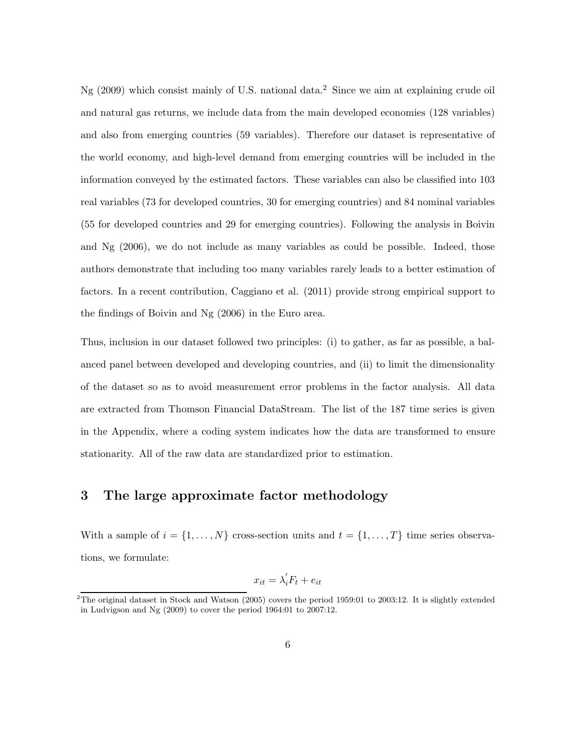Ng (2009) which consist mainly of U.S. national data.<sup>2</sup> Since we aim at explaining crude oil and natural gas returns, we include data from the main developed economies (128 variables) and also from emerging countries (59 variables). Therefore our dataset is representative of the world economy, and high-level demand from emerging countries will be included in the information conveyed by the estimated factors. These variables can also be classified into 103 real variables (73 for developed countries, 30 for emerging countries) and 84 nominal variables (55 for developed countries and 29 for emerging countries). Following the analysis in Boivin and Ng (2006), we do not include as many variables as could be possible. Indeed, those authors demonstrate that including too many variables rarely leads to a better estimation of factors. In a recent contribution, Caggiano et al. (2011) provide strong empirical support to the findings of Boivin and Ng (2006) in the Euro area.

Thus, inclusion in our dataset followed two principles: (i) to gather, as far as possible, a balanced panel between developed and developing countries, and (ii) to limit the dimensionality of the dataset so as to avoid measurement error problems in the factor analysis. All data are extracted from Thomson Financial DataStream. The list of the 187 time series is given in the Appendix, where a coding system indicates how the data are transformed to ensure stationarity. All of the raw data are standardized prior to estimation.

#### **3 The large approximate factor methodology**

With a sample of  $i = \{1, ..., N\}$  cross-section units and  $t = \{1, ..., T\}$  time series observations, we formulate:

$$
x_{it} = \lambda_i' F_t + e_{it}
$$

<sup>&</sup>lt;sup>2</sup>The original dataset in Stock and Watson (2005) covers the period 1959:01 to 2003:12. It is slightly extended in Ludvigson and Ng (2009) to cover the period 1964:01 to 2007:12.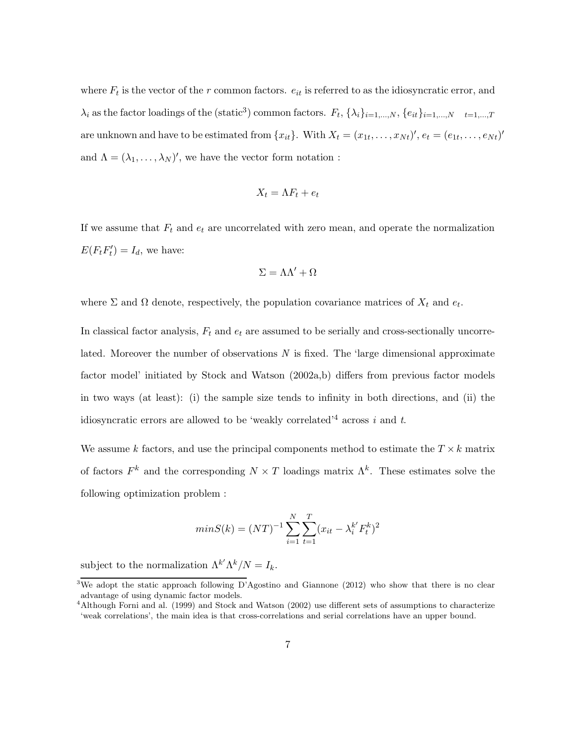where  $F_t$  is the vector of the  $r$  common factors.  $e_{it}$  is referred to as the idiosyncratic error, and  $\lambda_i$  as the factor loadings of the (static<sup>3</sup>) common factors.  $F_t$ ,  $\{\lambda_i\}_{i=1,\dots,N}$ ,  $\{e_{it}\}_{i=1,\dots,N}$   $t=1,\dots,T$ are unknown and have to be estimated from  $\{x_{it}\}\$ . With  $X_t = (x_{1t}, \ldots, x_{Nt})'$ ,  $e_t = (e_{1t}, \ldots, e_{Nt})'$ and  $\Lambda = (\lambda_1, \ldots, \lambda_N)'$ , we have the vector form notation :

$$
X_t = \Lambda F_t + e_t
$$

If we assume that  $F_t$  and  $e_t$  are uncorrelated with zero mean, and operate the normalization  $E(F_t F_t') = I_d$ , we have:

$$
\Sigma = \Lambda \Lambda' + \Omega
$$

where  $\Sigma$  and  $\Omega$  denote, respectively, the population covariance matrices of  $X_t$  and  $e_t$ .

In classical factor analysis,  $F_t$  and  $e_t$  are assumed to be serially and cross-sectionally uncorrelated. Moreover the number of observations *N* is fixed. The 'large dimensional approximate factor model' initiated by Stock and Watson (2002a,b) differs from previous factor models in two ways (at least): (i) the sample size tends to infinity in both directions, and (ii) the idiosyncratic errors are allowed to be 'weakly correlated'<sup>4</sup> across *i* and *t*.

We assume *k* factors, and use the principal components method to estimate the  $T \times k$  matrix of factors  $F^k$  and the corresponding  $N \times T$  loadings matrix  $\Lambda^k$ . These estimates solve the following optimization problem :

$$
minS(k) = (NT)^{-1} \sum_{i=1}^{N} \sum_{t=1}^{T} (x_{it} - \lambda_i^{k'} F_t^k)^2
$$

subject to the normalization  $\Lambda^{k'} \Lambda^k / N = I_k$ .

<sup>&</sup>lt;sup>3</sup>We adopt the static approach following D'Agostino and Giannone (2012) who show that there is no clear advantage of using dynamic factor models.

<sup>&</sup>lt;sup>4</sup>Although Forni and al. (1999) and Stock and Watson (2002) use different sets of assumptions to characterize 'weak correlations', the main idea is that cross-correlations and serial correlations have an upper bound.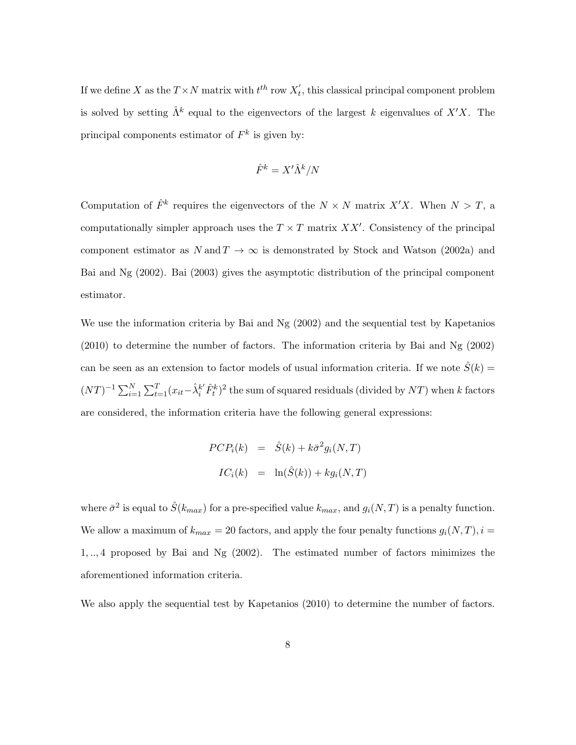If we define X as the  $T \times N$  matrix with  $t^{th}$  row  $X'_t$ , this classical principal component problem is solved by setting  $\hat{\Lambda}^k$  equal to the eigenvectors of the largest *k* eigenvalues of  $X'X$ . The principal components estimator of  $F<sup>k</sup>$  is given by:

$$
\hat{F}^k = X'\hat{\Lambda}^k/N
$$

Computation of  $\hat{F}^k$  requires the eigenvectors of the  $N \times N$  matrix  $X'X$ . When  $N > T$ , a computationally simpler approach uses the  $T \times T$  matrix XX'. Consistency of the principal component estimator as  $N \text{ and } T \to \infty$  is demonstrated by Stock and Watson (2002a) and Bai and Ng (2002). Bai (2003) gives the asymptotic distribution of the principal component estimator.

We use the information criteria by Bai and Ng (2002) and the sequential test by Kapetanios (2010) to determine the number of factors. The information criteria by Bai and Ng (2002) can be seen as an extension to factor models of usual information criteria. If we note  $\hat{S}(k)$  =  $(NT)^{-1} \sum_{i=1}^{N} \sum_{t=1}^{T} (x_{it} - \hat{\lambda}_i^{k'} \hat{F}_t^{k})^2$  the sum of squared residuals (divided by NT) when *k* factors are considered, the information criteria have the following general expressions:

$$
PCP_i(k) = \hat{S}(k) + k\bar{\sigma}^2 g_i(N,T)
$$

$$
IC_i(k) = \ln(\hat{S}(k)) + k g_i(N,T)
$$

where  $\bar{\sigma}^2$  is equal to  $\hat{S}(k_{max})$  for a pre-specified value  $k_{max}$ , and  $g_i(N,T)$  is a penalty function. We allow a maximum of  $k_{max} = 20$  factors, and apply the four penalty functions  $g_i(N,T)$ ,  $i =$ <sup>1</sup>, .., 4 proposed by Bai and Ng (2002). The estimated number of factors minimizes the aforementioned information criteria.

We also apply the sequential test by Kapetanios (2010) to determine the number of factors.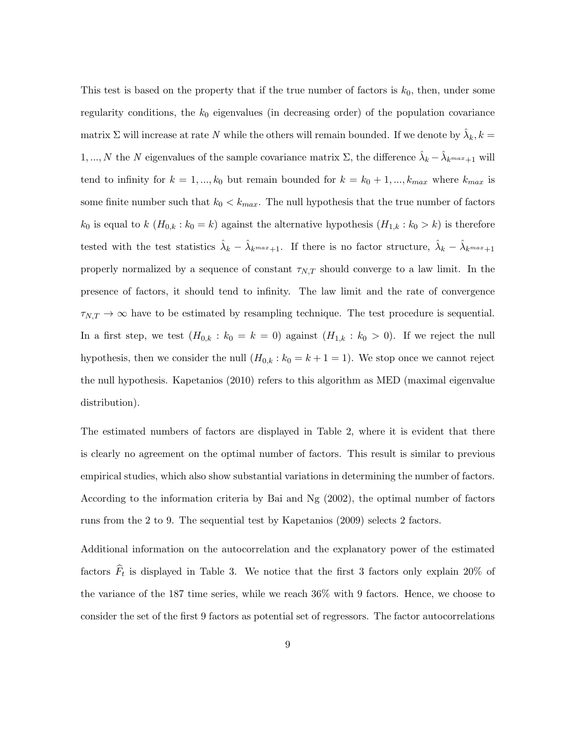This test is based on the property that if the true number of factors is  $k_0$ , then, under some regularity conditions, the  $k_0$  eigenvalues (in decreasing order) of the population covariance matrix  $\Sigma$  will increase at rate *N* while the others will remain bounded. If we denote by  $\lambda_k, k =$ 1, ..., N the N eigenvalues of the sample covariance matrix  $\Sigma$ , the difference  $\hat{\lambda}_k - \hat{\lambda}_{k^{max}+1}$  will tend to infinity for  $k = 1, ..., k_0$  but remain bounded for  $k = k_0 + 1, ..., k_{max}$  where  $k_{max}$  is some finite number such that  $k_0 < k_{max}$ . The null hypothesis that the true number of factors  $k_0$  is equal to  $k$   $(H_{0,k}: k_0 = k)$  against the alternative hypothesis  $(H_{1,k}: k_0 > k)$  is therefore tested with the test statistics  $\hat{\lambda}_k - \hat{\lambda}_{k^{max}+1}$ . If there is no factor structure,  $\hat{\lambda}_k - \hat{\lambda}_{k^{max}+1}$ properly normalized by a sequence of constant  $\tau_{N,T}$  should converge to a law limit. In the presence of factors, it should tend to infinity. The law limit and the rate of convergence  $\tau_{N,T} \to \infty$  have to be estimated by resampling technique. The test procedure is sequential. In a first step, we test  $(H_{0,k}: k_0 = k = 0)$  against  $(H_{1,k}: k_0 > 0)$ . If we reject the null hypothesis, then we consider the null  $(H_{0,k}: k_0 = k + 1 = 1)$ . We stop once we cannot reject the null hypothesis. Kapetanios (2010) refers to this algorithm as MED (maximal eigenvalue distribution).

The estimated numbers of factors are displayed in Table 2, where it is evident that there is clearly no agreement on the optimal number of factors. This result is similar to previous empirical studies, which also show substantial variations in determining the number of factors. According to the information criteria by Bai and Ng (2002), the optimal number of factors runs from the 2 to 9. The sequential test by Kapetanios (2009) selects 2 factors.

Additional information on the autocorrelation and the explanatory power of the estimated factors  $\widehat{F}_t$  is displayed in Table 3. We notice that the first 3 factors only explain 20% of the variance of the 187 time series, while we reach 36% with 9 factors. Hence, we choose to consider the set of the first 9 factors as potential set of regressors. The factor autocorrelations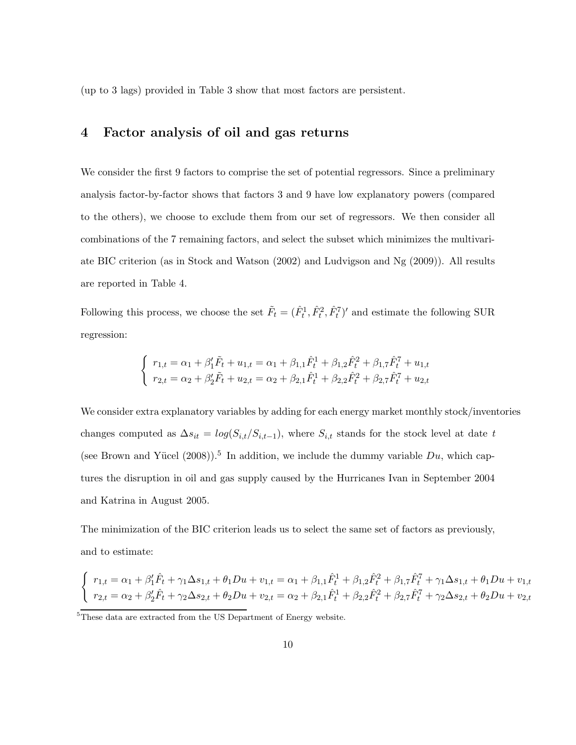(up to 3 lags) provided in Table 3 show that most factors are persistent.

## **4 Factor analysis of oil and gas returns**

We consider the first 9 factors to comprise the set of potential regressors. Since a preliminary analysis factor-by-factor shows that factors 3 and 9 have low explanatory powers (compared to the others), we choose to exclude them from our set of regressors. We then consider all combinations of the 7 remaining factors, and select the subset which minimizes the multivariate BIC criterion (as in Stock and Watson (2002) and Ludvigson and Ng (2009)). All results are reported in Table 4.

Following this process, we choose the set  $\tilde{F}_t = (\hat{F}_t^1, \hat{F}_t^2, \hat{F}_t^7)'$  and estimate the following SUR regression:

$$
\begin{cases}\nr_{1,t} = \alpha_1 + \beta_1' \tilde{F}_t + u_{1,t} = \alpha_1 + \beta_{1,1} \hat{F}_t^1 + \beta_{1,2} \hat{F}_t^2 + \beta_{1,7} \hat{F}_t^7 + u_{1,t} \\
r_{2,t} = \alpha_2 + \beta_2' \tilde{F}_t + u_{2,t} = \alpha_2 + \beta_{2,1} \hat{F}_t^1 + \beta_{2,2} \hat{F}_t^2 + \beta_{2,7} \hat{F}_t^7 + u_{2,t}\n\end{cases}
$$

We consider extra explanatory variables by adding for each energy market monthly stock/inventories changes computed as  $\Delta s_{it} = log(S_{i,t}/S_{i,t-1})$ , where  $S_{i,t}$  stands for the stock level at date *t* (see Brown and Yücel (2008)).<sup>5</sup> In addition, we include the dummy variable  $Du$ , which captures the disruption in oil and gas supply caused by the Hurricanes Ivan in September 2004 and Katrina in August 2005.

The minimization of the BIC criterion leads us to select the same set of factors as previously, and to estimate:

$$
\begin{cases}\nr_{1,t} = \alpha_1 + \beta_1' \hat{F}_t + \gamma_1 \Delta s_{1,t} + \theta_1 D u + v_{1,t} = \alpha_1 + \beta_{1,1} \hat{F}_t^1 + \beta_{1,2} \hat{F}_t^2 + \beta_{1,7} \hat{F}_t^7 + \gamma_1 \Delta s_{1,t} + \theta_1 D u + v_{1,t} \\
r_{2,t} = \alpha_2 + \beta_2' \hat{F}_t + \gamma_2 \Delta s_{2,t} + \theta_2 D u + v_{2,t} = \alpha_2 + \beta_{2,1} \hat{F}_t^1 + \beta_{2,2} \hat{F}_t^2 + \beta_{2,7} \hat{F}_t^7 + \gamma_2 \Delta s_{2,t} + \theta_2 D u + v_{2,t}\n\end{cases}
$$

<sup>&</sup>lt;sup>5</sup>These data are extracted from the US Department of Energy website.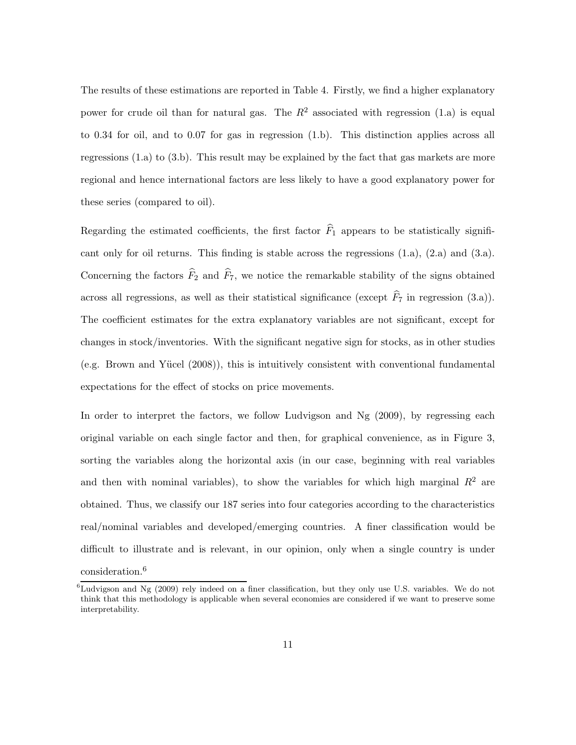The results of these estimations are reported in Table 4. Firstly, we find a higher explanatory power for crude oil than for natural gas. The  $R^2$  associated with regression (1.a) is equal to 0.34 for oil, and to 0.07 for gas in regression (1.b). This distinction applies across all regressions (1.a) to (3.b). This result may be explained by the fact that gas markets are more regional and hence international factors are less likely to have a good explanatory power for these series (compared to oil).

Regarding the estimated coefficients, the first factor  $\widehat{F}_1$  appears to be statistically significant only for oil returns. This finding is stable across the regressions (1.a), (2.a) and (3.a). Concerning the factors  $\widehat{F}_2$  and  $\widehat{F}_7$ , we notice the remarkable stability of the signs obtained across all regressions, as well as their statistical significance (except  $\hat{F}_7$  in regression (3.a)). The coefficient estimates for the extra explanatory variables are not significant, except for changes in stock/inventories. With the significant negative sign for stocks, as in other studies (e.g. Brown and Yücel  $(2008)$ ), this is intuitively consistent with conventional fundamental expectations for the effect of stocks on price movements.

In order to interpret the factors, we follow Ludvigson and Ng (2009), by regressing each original variable on each single factor and then, for graphical convenience, as in Figure 3, sorting the variables along the horizontal axis (in our case, beginning with real variables and then with nominal variables), to show the variables for which high marginal  $R^2$  are obtained. Thus, we classify our 187 series into four categories according to the characteristics real/nominal variables and developed/emerging countries. A finer classification would be difficult to illustrate and is relevant, in our opinion, only when a single country is under consideration.<sup>6</sup>

 ${}^{6}$ Ludvigson and Ng (2009) rely indeed on a finer classification, but they only use U.S. variables. We do not think that this methodology is applicable when several economies are considered if we want to preserve some interpretability.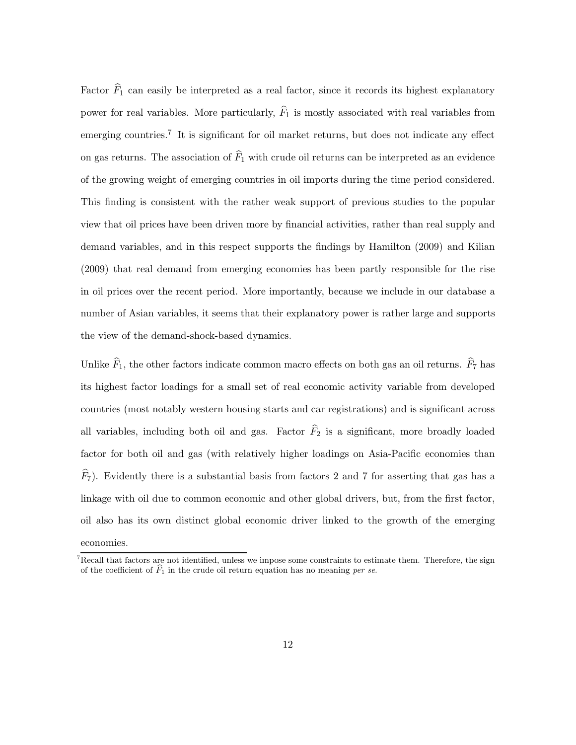Factor  $\widehat{F}_1$  can easily be interpreted as a real factor, since it records its highest explanatory power for real variables. More particularly,  $\widehat{F}_1$  is mostly associated with real variables from emerging countries.<sup>7</sup> It is significant for oil market returns, but does not indicate any effect on gas returns. The association of  $\widehat{F}_1$  with crude oil returns can be interpreted as an evidence of the growing weight of emerging countries in oil imports during the time period considered. This finding is consistent with the rather weak support of previous studies to the popular view that oil prices have been driven more by financial activities, rather than real supply and demand variables, and in this respect supports the findings by Hamilton (2009) and Kilian (2009) that real demand from emerging economies has been partly responsible for the rise in oil prices over the recent period. More importantly, because we include in our database a number of Asian variables, it seems that their explanatory power is rather large and supports the view of the demand-shock-based dynamics.

Unlike  $\widehat{F}_1$ , the other factors indicate common macro effects on both gas an oil returns.  $\widehat{F}_7$  has its highest factor loadings for a small set of real economic activity variable from developed countries (most notably western housing starts and car registrations) and is significant across all variables, including both oil and gas. Factor  $\widehat{F}_2$  is a significant, more broadly loaded factor for both oil and gas (with relatively higher loadings on Asia-Pacific economies than  $\widehat{F}_7$ ). Evidently there is a substantial basis from factors 2 and 7 for asserting that gas has a linkage with oil due to common economic and other global drivers, but, from the first factor, oil also has its own distinct global economic driver linked to the growth of the emerging economies.

 $7$ Recall that factors are not identified, unless we impose some constraints to estimate them. Therefore, the sign economies.<br>Recall that factors are not identified, unless we impose some constraints to esti-<br>of the coefficient of  $\widehat{F}_1$  in the crude oil return equation has no meaning *per se*.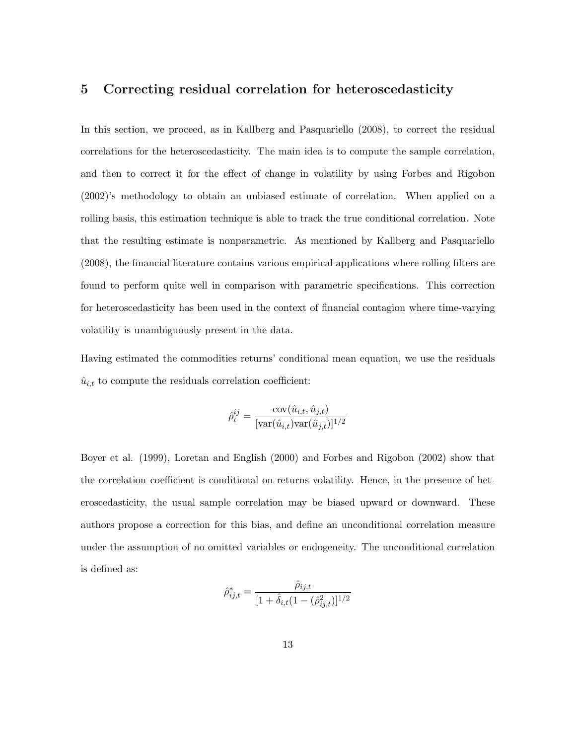### **5 Correcting residual correlation for heteroscedasticity**

In this section, we proceed, as in Kallberg and Pasquariello (2008), to correct the residual correlations for the heteroscedasticity. The main idea is to compute the sample correlation, and then to correct it for the effect of change in volatility by using Forbes and Rigobon (2002)'s methodology to obtain an unbiased estimate of correlation. When applied on a rolling basis, this estimation technique is able to track the true conditional correlation. Note that the resulting estimate is nonparametric. As mentioned by Kallberg and Pasquariello (2008), the financial literature contains various empirical applications where rolling filters are found to perform quite well in comparison with parametric specifications. This correction for heteroscedasticity has been used in the context of financial contagion where time-varying volatility is unambiguously present in the data.

Having estimated the commodities returns' conditional mean equation, we use the residuals  $\hat{u}_{i,t}$  to compute the residuals correlation coefficient:

$$
\hat{\rho}_t^{ij} = \frac{\text{cov}(\hat{u}_{i,t}, \hat{u}_{j,t})}{[\text{var}(\hat{u}_{i,t})\text{var}(\hat{u}_{j,t})]^{1/2}}
$$

Boyer et al. (1999), Loretan and English (2000) and Forbes and Rigobon (2002) show that the correlation coefficient is conditional on returns volatility. Hence, in the presence of heteroscedasticity, the usual sample correlation may be biased upward or downward. These authors propose a correction for this bias, and define an unconditional correlation measure under the assumption of no omitted variables or endogeneity. The unconditional correlation is defined as:

$$
\hat{\rho}_{ij,t}^* = \frac{\hat{\rho}_{ij,t}}{[1 + \hat{\delta}_{i,t}(1 - (\hat{\rho}_{ij,t}^2))]^{1/2}}
$$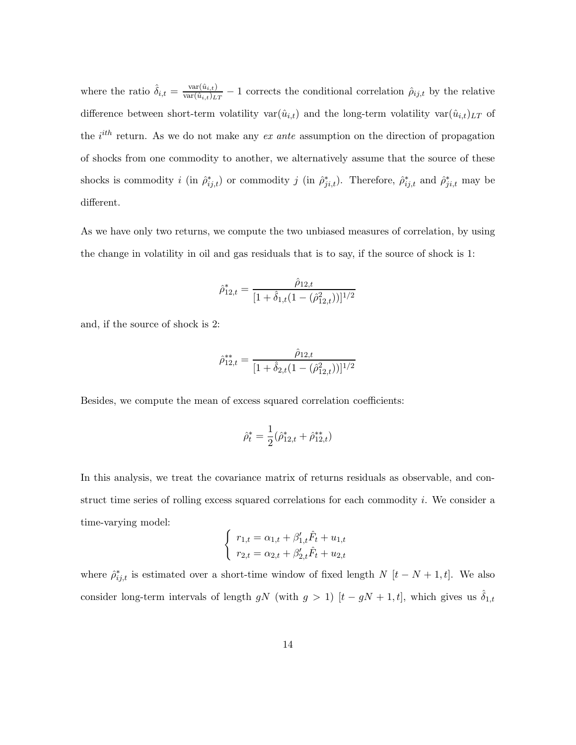where the ratio  $\hat{\delta}_{i,t} = \frac{\text{var}(\hat{u}_{i,t})}{\text{var}(\hat{u}_{i,t})_{LT}} - 1$  corrects the conditional correlation  $\hat{\rho}_{ij,t}$  by the relative difference between short-term volatility var $(\hat{u}_{i,t})$  and the long-term volatility var $(\hat{u}_{i,t})_{LT}$  of the *i*<sup>th</sup> return. As we do not make any *ex ante* assumption on the direction of propagation of shocks from one commodity to another, we alternatively assume that the source of these shocks is commodity *i* (in  $\hat{\rho}_{ij,t}^*$ ) or commodity *j* (in  $\hat{\rho}_{ji,t}^*$ ). Therefore,  $\hat{\rho}_{ij,t}^*$  and  $\hat{\rho}_{ji,t}^*$  may be different.

As we have only two returns, we compute the two unbiased measures of correlation, by using the change in volatility in oil and gas residuals that is to say, if the source of shock is 1:

$$
\hat{\rho}_{12,t}^* = \frac{\hat{\rho}_{12,t}}{[1 + \hat{\delta}_{1,t}(1 - (\hat{\rho}_{12,t}^2))]^{1/2}}
$$

and, if the source of shock is 2:

$$
\hat{\rho}_{12,t}^{**} = \frac{\hat{\rho}_{12,t}}{[1 + \hat{\delta}_{2,t}(1 - (\hat{\rho}_{12,t}^2))]^{1/2}}
$$

Besides, we compute the mean of excess squared correlation coefficients:

$$
\hat{\rho}_t^* = \frac{1}{2} (\hat{\rho}_{12,t}^* + \hat{\rho}_{12,t}^{**})
$$

In this analysis, we treat the covariance matrix of returns residuals as observable, and construct time series of rolling excess squared correlations for each commodity  $i$ . We consider a time-varying model:

$$
\begin{cases}\nr_{1,t} = \alpha_{1,t} + \beta'_{1,t}\hat{F}_t + u_{1,t} \\
r_{2,t} = \alpha_{2,t} + \beta'_{2,t}\hat{F}_t + u_{2,t}\n\end{cases}
$$

where  $\hat{\rho}_{ij,t}^*$  is estimated over a short-time window of fixed length *N* [t – N + 1, t]. We also consider long-term intervals of length gN (with  $g > 1$ )  $[t - gN + 1, t]$ , which gives us  $\hat{\delta}_{1,t}$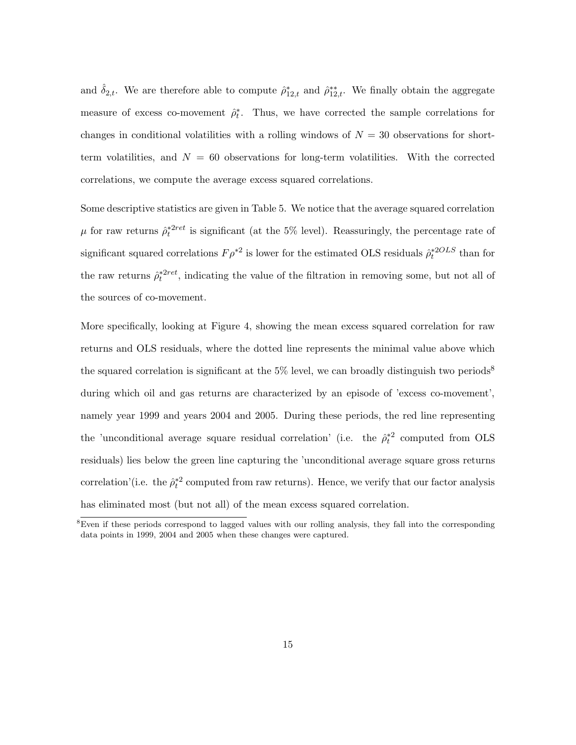and  $\hat{\delta}_{2,t}$ . We are therefore able to compute  $\hat{\rho}_{12,t}^*$  and  $\hat{\rho}_{12,t}^{**}$ . We finally obtain the aggregate measure of excess co-movement  $\hat{\rho}_t^*$ . Thus, we have corrected the sample correlations for changes in conditional volatilities with a rolling windows of  $N = 30$  observations for shortterm volatilities, and  $N = 60$  observations for long-term volatilities. With the corrected correlations, we compute the average excess squared correlations.

Some descriptive statistics are given in Table 5. We notice that the average squared correlation  $\mu$  for raw returns  $\hat{\rho}^{*2ret}_t$  is significant (at the 5% level). Reassuringly, the percentage rate of significant squared correlations  $F \rho^{*2}$  is lower for the estimated OLS residuals  $\hat{\rho}^{*2OLS}_{t}$  than for the raw returns  $\hat{\rho}^{*2ret}_t$ , indicating the value of the filtration in removing some, but not all of the sources of co-movement.

More specifically, looking at Figure 4, showing the mean excess squared correlation for raw returns and OLS residuals, where the dotted line represents the minimal value above which the squared correlation is significant at the  $5\%$  level, we can broadly distinguish two periods<sup>8</sup> during which oil and gas returns are characterized by an episode of 'excess co-movement', namely year 1999 and years 2004 and 2005. During these periods, the red line representing the 'unconditional average square residual correlation' (i.e. the  $\hat{\rho}_t^{*2}$  computed from OLS residuals) lies below the green line capturing the 'unconditional average square gross returns correlation'(i.e. the  $\hat{\rho}_t^{*2}$  computed from raw returns). Hence, we verify that our factor analysis has eliminated most (but not all) of the mean excess squared correlation.

<sup>&</sup>lt;sup>8</sup>Even if these periods correspond to lagged values with our rolling analysis, they fall into the corresponding data points in 1999, 2004 and 2005 when these changes were captured.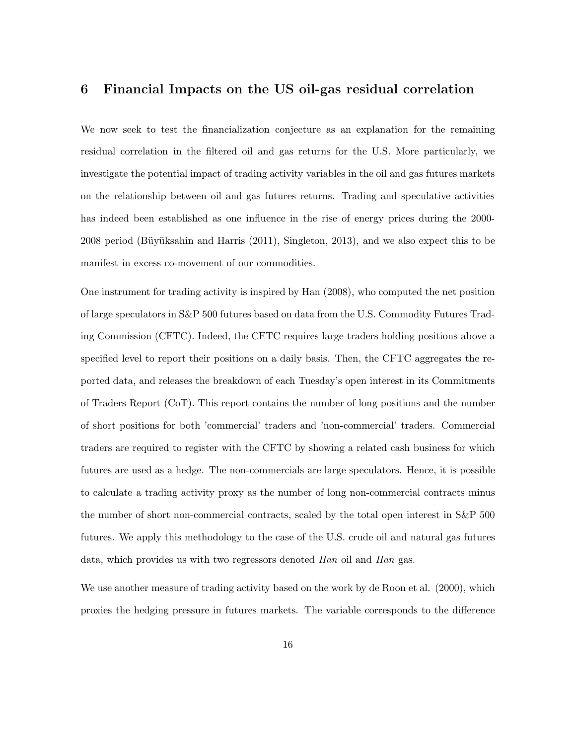#### **6 Financial Impacts on the US oil-gas residual correlation**

We now seek to test the financialization conjecture as an explanation for the remaining residual correlation in the filtered oil and gas returns for the U.S. More particularly, we investigate the potential impact of trading activity variables in the oil and gas futures markets on the relationship between oil and gas futures returns. Trading and speculative activities has indeed been established as one influence in the rise of energy prices during the 2000-  $2008$  period (Büyüksahin and Harris  $(2011)$ , Singleton, 2013), and we also expect this to be manifest in excess co-movement of our commodities.

One instrument for trading activity is inspired by Han (2008), who computed the net position of large speculators in S&P 500 futures based on data from the U.S. Commodity Futures Trading Commission (CFTC). Indeed, the CFTC requires large traders holding positions above a specified level to report their positions on a daily basis. Then, the CFTC aggregates the reported data, and releases the breakdown of each Tuesday's open interest in its Commitments of Traders Report (CoT). This report contains the number of long positions and the number of short positions for both 'commercial' traders and 'non-commercial' traders. Commercial traders are required to register with the CFTC by showing a related cash business for which futures are used as a hedge. The non-commercials are large speculators. Hence, it is possible to calculate a trading activity proxy as the number of long non-commercial contracts minus the number of short non-commercial contracts, scaled by the total open interest in S&P 500 futures. We apply this methodology to the case of the U.S. crude oil and natural gas futures data, which provides us with two regressors denoted *Han* oil and *Han* gas.

We use another measure of trading activity based on the work by de Roon et al. (2000), which proxies the hedging pressure in futures markets. The variable corresponds to the difference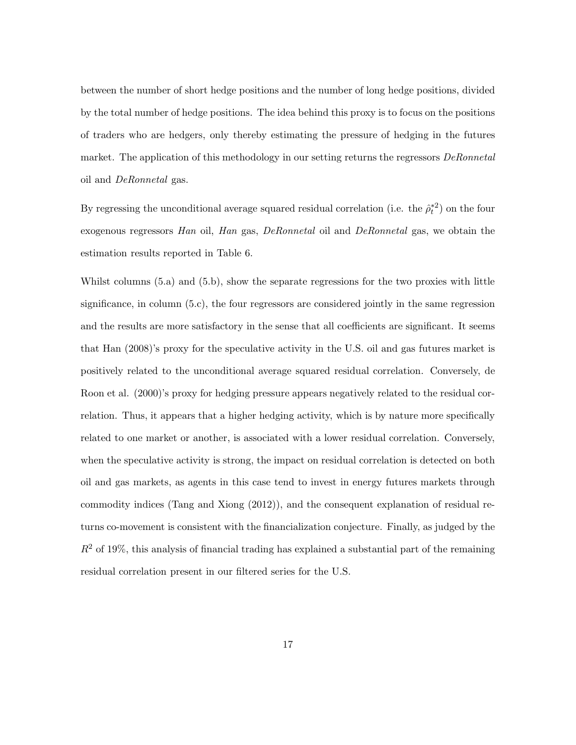between the number of short hedge positions and the number of long hedge positions, divided by the total number of hedge positions. The idea behind this proxy is to focus on the positions of traders who are hedgers, only thereby estimating the pressure of hedging in the futures market. The application of this methodology in our setting returns the regressors *DeRonnetal* oil and *DeRonnetal* gas.

By regressing the unconditional average squared residual correlation (i.e. the  $\hat{\rho}_t^{*2}$ ) on the four exogenous regressors *Han* oil, *Han* gas, *DeRonnetal* oil and *DeRonnetal* gas, we obtain the estimation results reported in Table 6.

Whilst columns  $(5.a)$  and  $(5.b)$ , show the separate regressions for the two proxies with little significance, in column (5.c), the four regressors are considered jointly in the same regression and the results are more satisfactory in the sense that all coefficients are significant. It seems that Han (2008)'s proxy for the speculative activity in the U.S. oil and gas futures market is positively related to the unconditional average squared residual correlation. Conversely, de Roon et al. (2000)'s proxy for hedging pressure appears negatively related to the residual correlation. Thus, it appears that a higher hedging activity, which is by nature more specifically related to one market or another, is associated with a lower residual correlation. Conversely, when the speculative activity is strong, the impact on residual correlation is detected on both oil and gas markets, as agents in this case tend to invest in energy futures markets through commodity indices (Tang and Xiong (2012)), and the consequent explanation of residual returns co-movement is consistent with the financialization conjecture. Finally, as judged by the  $R<sup>2</sup>$  of 19%, this analysis of financial trading has explained a substantial part of the remaining residual correlation present in our filtered series for the U.S.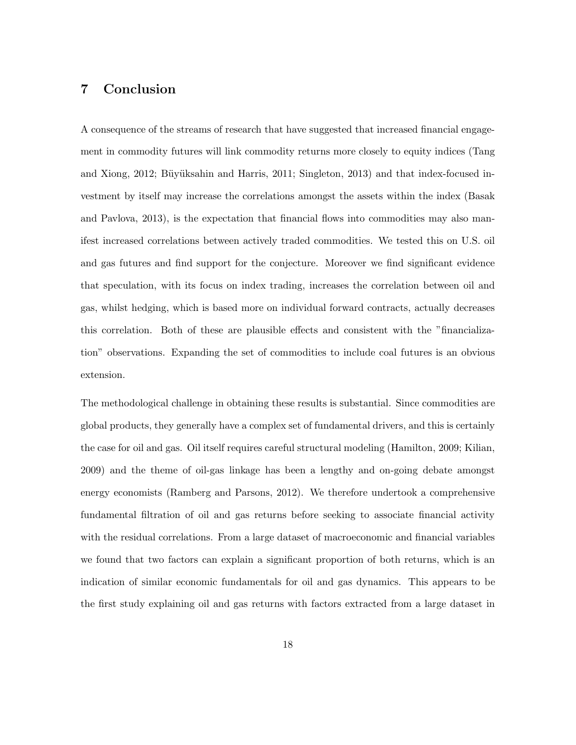### **7 Conclusion**

A consequence of the streams of research that have suggested that increased financial engagement in commodity futures will link commodity returns more closely to equity indices (Tang and Xiong, 2012; Büyüksahin and Harris, 2011; Singleton, 2013) and that index-focused investment by itself may increase the correlations amongst the assets within the index (Basak and Pavlova, 2013), is the expectation that financial flows into commodities may also manifest increased correlations between actively traded commodities. We tested this on U.S. oil and gas futures and find support for the conjecture. Moreover we find significant evidence that speculation, with its focus on index trading, increases the correlation between oil and gas, whilst hedging, which is based more on individual forward contracts, actually decreases this correlation. Both of these are plausible effects and consistent with the "financialization" observations. Expanding the set of commodities to include coal futures is an obvious extension.

The methodological challenge in obtaining these results is substantial. Since commodities are global products, they generally have a complex set of fundamental drivers, and this is certainly the case for oil and gas. Oil itself requires careful structural modeling (Hamilton, 2009; Kilian, 2009) and the theme of oil-gas linkage has been a lengthy and on-going debate amongst energy economists (Ramberg and Parsons, 2012). We therefore undertook a comprehensive fundamental filtration of oil and gas returns before seeking to associate financial activity with the residual correlations. From a large dataset of macroeconomic and financial variables we found that two factors can explain a significant proportion of both returns, which is an indication of similar economic fundamentals for oil and gas dynamics. This appears to be the first study explaining oil and gas returns with factors extracted from a large dataset in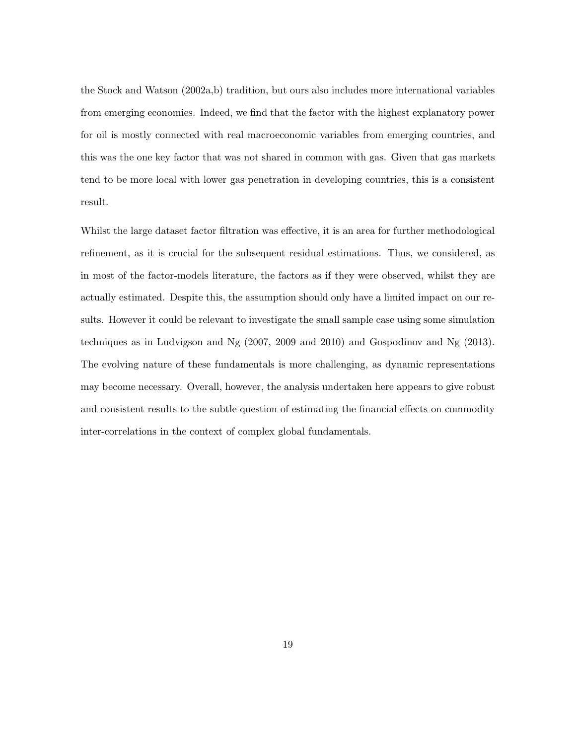the Stock and Watson (2002a,b) tradition, but ours also includes more international variables from emerging economies. Indeed, we find that the factor with the highest explanatory power for oil is mostly connected with real macroeconomic variables from emerging countries, and this was the one key factor that was not shared in common with gas. Given that gas markets tend to be more local with lower gas penetration in developing countries, this is a consistent result.

Whilst the large dataset factor filtration was effective, it is an area for further methodological refinement, as it is crucial for the subsequent residual estimations. Thus, we considered, as in most of the factor-models literature, the factors as if they were observed, whilst they are actually estimated. Despite this, the assumption should only have a limited impact on our results. However it could be relevant to investigate the small sample case using some simulation techniques as in Ludvigson and Ng (2007, 2009 and 2010) and Gospodinov and Ng (2013). The evolving nature of these fundamentals is more challenging, as dynamic representations may become necessary. Overall, however, the analysis undertaken here appears to give robust and consistent results to the subtle question of estimating the financial effects on commodity inter-correlations in the context of complex global fundamentals.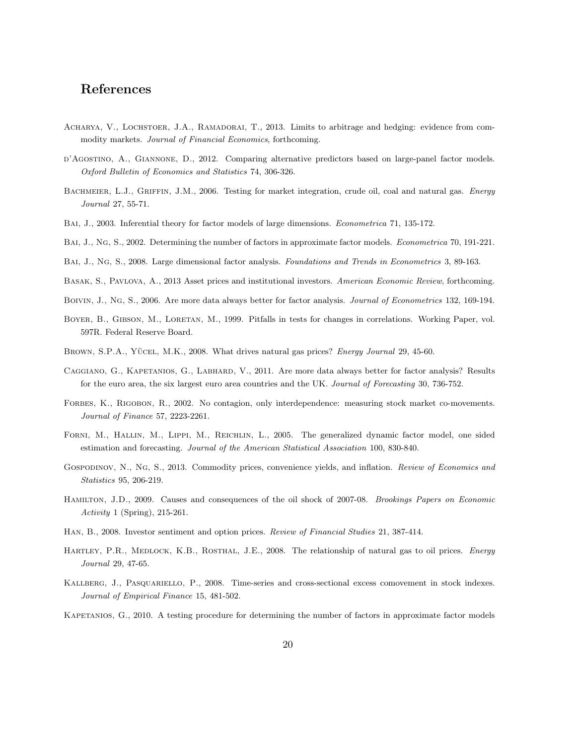### **References**

- ACHARYA, V., LOCHSTOER, J.A., RAMADORAI, T., 2013. Limits to arbitrage and hedging: evidence from commodity markets. *Journal of Financial Economics*, forthcoming.
- d'Agostino, A., Giannone, D., 2012. Comparing alternative predictors based on large-panel factor models. *Oxford Bulletin of Economics and Statistics* 74, 306-326.
- Bachmeier, L.J., Griffin, J.M., 2006. Testing for market integration, crude oil, coal and natural gas. *Energy Journal* 27, 55-71.
- Bai, J., 2003. Inferential theory for factor models of large dimensions. *Econometrica* 71, 135-172.
- Bai, J., Ng, S., 2002. Determining the number of factors in approximate factor models. *Econometrica* 70, 191-221.
- Bai, J., Ng, S., 2008. Large dimensional factor analysis. *Foundations and Trends in Econometrics* 3, 89-163.
- Basak, S., Pavlova, A., 2013 Asset prices and institutional investors. *American Economic Review*, forthcoming.
- Boivin, J., Ng, S., 2006. Are more data always better for factor analysis. *Journal of Econometrics* 132, 169-194.
- BOYER, B., GIBSON, M., LORETAN, M., 1999. Pitfalls in tests for changes in correlations. Working Paper, vol. 597R. Federal Reserve Board.
- BROWN, S.P.A., YÜCEL, M.K., 2008. What drives natural gas prices? *Energy Journal* 29, 45-60.
- CAGGIANO, G., KAPETANIOS, G., LABHARD, V., 2011. Are more data always better for factor analysis? Results for the euro area, the six largest euro area countries and the UK. *Journal of Forecasting* 30, 736-752.
- FORBES, K., RIGOBON, R., 2002. No contagion, only interdependence: measuring stock market co-movements. *Journal of Finance* 57, 2223-2261.
- Forni, M., Hallin, M., Lippi, M., Reichlin, L., 2005. The generalized dynamic factor model, one sided estimation and forecasting. *Journal of the American Statistical Association* 100, 830-840.
- Gospodinov, N., Ng, S., 2013. Commodity prices, convenience yields, and inflation. *Review of Economics and Statistics* 95, 206-219.
- Hamilton, J.D., 2009. Causes and consequences of the oil shock of 2007-08. *Brookings Papers on Economic Activity* 1 (Spring), 215-261.
- Han, B., 2008. Investor sentiment and option prices. *Review of Financial Studies* 21, 387-414.
- HARTLEY, P.R., MEDLOCK, K.B., ROSTHAL, J.E., 2008. The relationship of natural gas to oil prices. *Energy Journal* 29, 47-65.
- Kallberg, J., Pasquariello, P., 2008. Time-series and cross-sectional excess comovement in stock indexes. *Journal of Empirical Finance* 15, 481-502.
- KAPETANIOS, G., 2010. A testing procedure for determining the number of factors in approximate factor models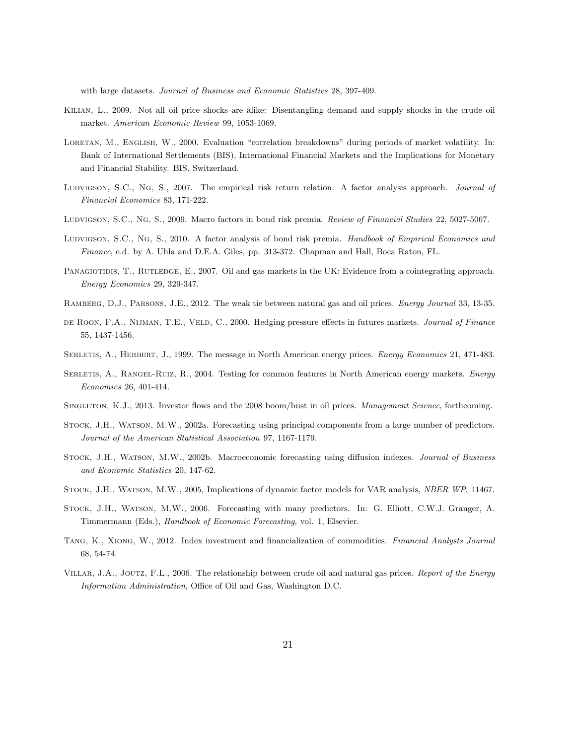with large datasets. *Journal of Business and Economic Statistics* 28, 397-409.

- Kilian, L., 2009. Not all oil price shocks are alike: Disentangling demand and supply shocks in the crude oil market. *American Economic Review* 99, 1053-1069.
- LORETAN, M., ENGLISH, W., 2000. Evaluation "correlation breakdowns" during periods of market volatility. In: Bank of International Settlements (BIS), International Financial Markets and the Implications for Monetary and Financial Stability. BIS, Switzerland.
- Ludvigson, S.C., Ng, S., 2007. The empirical risk return relation: A factor analysis approach. *Journal of Financial Economics* 83, 171-222.
- Ludvigson, S.C., Ng, S., 2009. Macro factors in bond risk premia. *Review of Financial Studies* 22, 5027-5067.
- Ludvigson, S.C., Ng, S., 2010. A factor analysis of bond risk premia. *Handbook of Empirical Economics and Finance*, e.d. by A. Uhla and D.E.A. Giles, pp. 313-372. Chapman and Hall, Boca Raton, FL.
- PANAGIOTIDIS, T., RUTLEDGE, E., 2007. Oil and gas markets in the UK: Evidence from a cointegrating approach. *Energy Economics* 29, 329-347.
- Ramberg, D.J., Parsons, J.E., 2012. The weak tie between natural gas and oil prices. *Energy Journal* 33, 13-35.
- de Roon, F.A., Nijman, T.E., Veld, C., 2000. Hedging pressure effects in futures markets. *Journal of Finance* 55, 1437-1456.
- Serletis, A., Herbert, J., 1999. The message in North American energy prices. *Energy Economics* 21, 471-483.
- Serletis, A., Rangel-Ruiz, R., 2004. Testing for common features in North American energy markets. *Energy Economics* 26, 401-414.
- Singleton, K.J., 2013. Investor flows and the 2008 boom/bust in oil prices. *Management Science*, forthcoming.
- Stock, J.H., Watson, M.W., 2002a. Forecasting using principal components from a large number of predictors. *Journal of the American Statistical Association* 97, 1167-1179.
- Stock, J.H., Watson, M.W., 2002b. Macroeconomic forecasting using diffusion indexes. *Journal of Business and Economic Statistics* 20, 147-62.
- Stock, J.H., Watson, M.W., 2005, Implications of dynamic factor models for VAR analysis, *NBER WP*, 11467.
- Stock, J.H., Watson, M.W., 2006. Forecasting with many predictors. In: G. Elliott, C.W.J. Granger, A. Timmermann (Eds.), *Handbook of Economic Forecasting*, vol. 1, Elsevier.
- Tang, K., Xiong, W., 2012. Index investment and financialization of commodities. *Financial Analysts Journal* 68, 54-74.
- Villar, J.A., Joutz, F.L., 2006. The relationship between crude oil and natural gas prices. *Report of the Energy Information Administration*, Office of Oil and Gas, Washington D.C.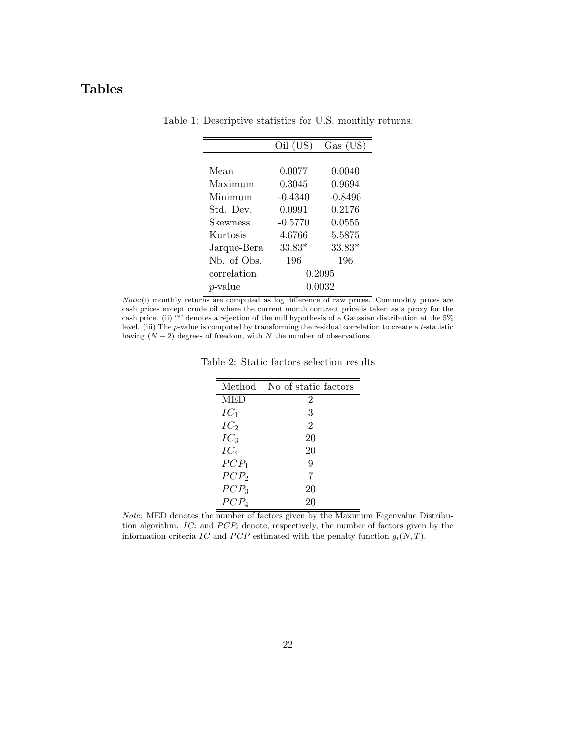## **Tables**

|                 | Oil (US)  | Gas (US)  |
|-----------------|-----------|-----------|
|                 |           |           |
| Mean            | 0.0077    | 0.0040    |
| Maximum         | 0.3045    | 0.9694    |
| Minimum         | $-0.4340$ | $-0.8496$ |
| Std. Dev.       | 0.0991    | 0.2176    |
| Skewness        | $-0.5770$ | 0.0555    |
| Kurtosis        | 4.6766    | 5.5875    |
| Jarque-Bera     | $33.83*$  | $33.83*$  |
| Nb. of Obs.     | 196       | 196       |
| correlation     |           | 0.2095    |
| <i>p</i> -value |           | 0.0032    |

Table 1: Descriptive statistics for U.S. monthly returns.

*p*-value 0.0032<br>*Note*:(i) monthly returns are computed as log difference of raw prices. Commodity prices are cash prices except crude oil where the current month contract price is taken as a proxy for the cash price. (ii) '\*' denotes a rejection of the null hypothesis of a Gaussian distribution at the 5% level. (iii) The p-value is computed by transforming the residual correlation to create a t-statistic having  $(N-2)$  degrees of freedom, with N the number of observations.

Table 2: Static factors selection results

| Method           | No of static factors |
|------------------|----------------------|
| <b>MED</b>       | 2                    |
| $IC_1$           | 3                    |
| IC <sub>2</sub>  | $\overline{2}$       |
| $IC_3$           | 20                   |
| $IC_4$           | 20                   |
| $PCP_1$          | 9                    |
| PCP <sub>2</sub> | 7                    |
| $PCP_3$          | 20                   |
| $PCP_4$          | 20                   |

 $Note: \text{ MED denotes the number of factors given by the Maximum Eigenvalue Distribution.}$ tion algorithm.  $IC_i$  and  $PCP_i$  denote, respectively, the number of factors given by the information criteria IC and PCP estimated with the penalty function  $g_i(N, T)$ .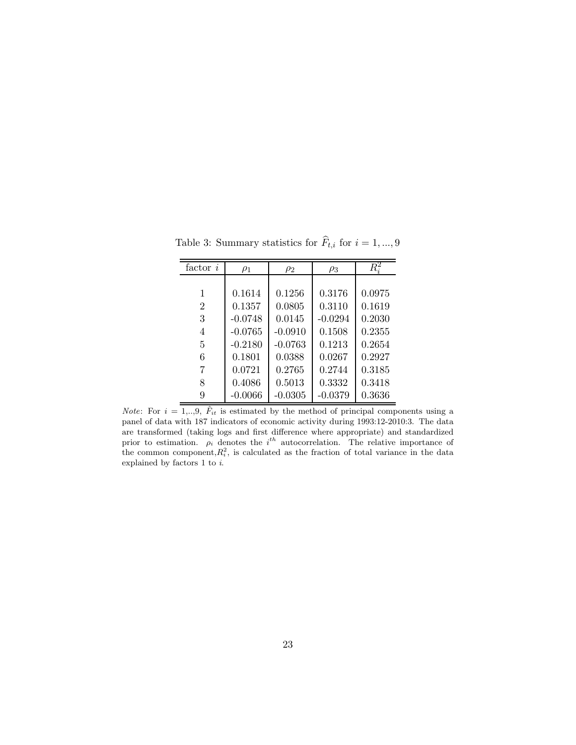| $factor\ i$    | $\rho_1$  | $\rho_2$  | $\rho_3$  | $\overline{R_i^2}$ |
|----------------|-----------|-----------|-----------|--------------------|
|                |           |           |           |                    |
| 1              | 0.1614    | 0.1256    | 0.3176    | 0.0975             |
| $\overline{2}$ | 0.1357    | 0.0805    | 0.3110    | 0.1619             |
| 3              | $-0.0748$ | 0.0145    | $-0.0294$ | 0.2030             |
| 4              | $-0.0765$ | $-0.0910$ | 0.1508    | 0.2355             |
| 5              | $-0.2180$ | $-0.0763$ | 0.1213    | 0.2654             |
| 6              | 0.1801    | 0.0388    | 0.0267    | 0.2927             |
| 7              | 0.0721    | 0.2765    | 0.2744    | 0.3185             |
| 8              | 0.4086    | 0.5013    | 0.3332    | 0.3418             |
| 9              | $-0.0066$ | $-0.0305$ | $-0.0379$ | 0.3636             |

Table 3: Summary statistics for  $\hat{F}_{t,i}$  for  $i = 1, ..., 9$ 

*Note*: For  $i = 1, ..., 9$ ,  $\hat{F}_{it}$  is estimated by the method of principal components using a panel of data with 187 indicators of componie activity during 1993-12, 2010-3. The data panel of data with 187 indicators of economic activity during 1993:12-2010:3. The data are transformed (taking logs and first difference where appropriate) and standardized prior to estimation.  $\rho_i$  denotes the *i*<sup>th</sup> autocorrelation. The relative importance of the common component  $R_i^2$  is calculated as the fraction of total variance in the data the common component,  $R_i^2$ , is calculated as the fraction of total variance in the data oxplained by factors 1 to i explained by factors 1 to *i*.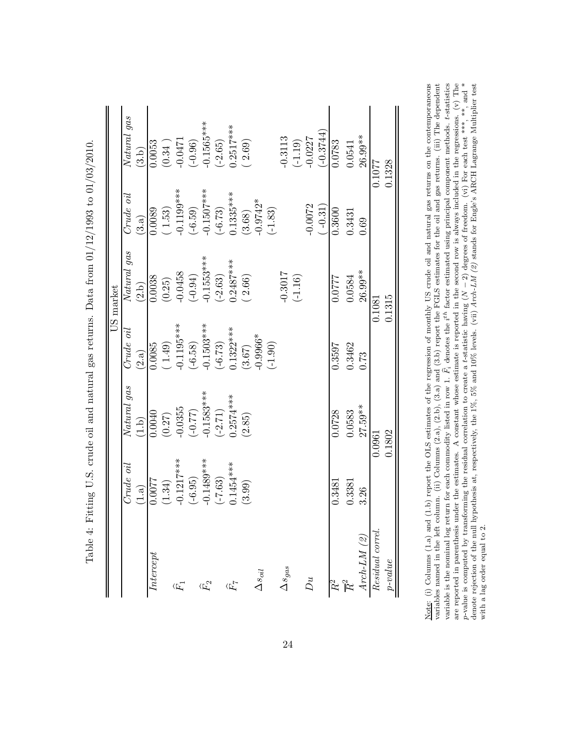|                        |              |              |              | US market    |               |              |
|------------------------|--------------|--------------|--------------|--------------|---------------|--------------|
|                        | Crude oil    | Natural gas  | $Crude$ oil  | Natural gas  | Crude oil     | Natural gas  |
|                        | (1.a)        | (1.b)        | (2.a)        | (2.b)        | (3.a)         | (3.b)        |
| Intercept              | 1.0077       | 0.0040       | 0.0085       | 0.0038       | 0.0089        | 0.0053       |
|                        | 1.34)        | (0.27)       | (1.49)       | (0.25)       | (1.53)        | (0.34)       |
| $\widehat{F}_1$        | $-0.1217***$ | $-0.0355$    | $-0.1195***$ | $-0.0458$    | $-0.1199***$  | $-0.0471$    |
|                        | $(-6.95)$    | (77.0)       | $(-6.58)$    | $(-0.94)$    | $(-6.59)$     | $(-0.96)$    |
| $\widehat{F}_{2}$      | $-0.1489***$ | $-0.1583***$ | $-0.1503***$ | $-0.1553***$ | $-0.1507$ *** | $-0.1565***$ |
|                        | $(-7.63)$    | $(-2.71)$    | $(-6.73)$    | $(-2.63)$    | $(-6.73)$     | $(-2.65)$    |
| $\widehat{H}$          | $0.1454***$  | $0.2574***$  | $0.1322***$  | $0.2487***$  | $0.1335***$   | $0.2517***$  |
|                        | (3.99)       | (2.85)       | (3.67)       | (2.66)       | (3.68)        | (2.69)       |
| $\Delta s_{oil}$       |              |              | $0.9966*$    |              | $0.9742*$     |              |
|                        |              |              | $(-1.90)$    |              | $(-1.83)$     |              |
| $\Delta s_{gas}$       |              |              |              | $-0.3017$    |               | $-0.3113$    |
|                        |              |              |              | $(-1.16)$    |               | $(-1.19)$    |
| $D$ u                  |              |              |              |              | $-0.0072$     | $-0.0227$    |
|                        |              |              |              |              | $(-0.31)$     | $(-0.3744)$  |
|                        | 0.3481       | 0.0728       | 0.3597       | 1220.0       | 0.3600        | 0.0783       |
| $R^2$                  | 0.3381       | 0.0583       | 0.3462       | 0.0584       | 0.3431        | 0.0541       |
| $Arch-LM(\mathcal{Z})$ | 3.26         | $27.59**$    | 0.73         | 26.99**      | 0.69          | 26.99**      |
| Residual correl.       |              | 0.0961       |              | 0.1081       |               | 0.1077       |
| $p-value$              |              | 0.1802       |              | 0.1315       |               | 0.1328       |

Table 4: Fitting U.S. crude oil and natural gas returns. Data from  $01/12/1993$  to  $01/03/2010$ . Table 4: Fitting U.S. crude oil and natural gas returns. Data from 01/12/1993 to 01/03/2010.

Note: (i) Columns (1.a) and (1.b) report the OLS estimates of the regression of monthly US crude oil and natural gas returns on the contemporaneous  $\tilde{F}_i$  denotes the  $i^{th}$  factor estimated using principal component methods. t-statistics are reported in parenthesis under the estimates. A constant whose estimate is reported in the second row is always included in the regressions. (v) The 2) degrees of freedom. (vi) For each test \*\*\*, \*\*, and \* denote rejection of the null hypothesis at, respectively, the 1%, 5% and 10% levels. (vii) *Arch-LM (2)* stands for Engle's ARCH Lagrange Multiplier test variables named in the left column. (ii) Columns (2.a), (2.b), (3.a) and (3.b) report the FGLS estimates for the oil and gas returns. (iii) The dependent N p-value is computed by transforming the residual correlation to create a t-statistic having ( (L variable is the nominal log return for each commodity listed in row 1. with a lag order equal to 2. with a lag order equal to 2.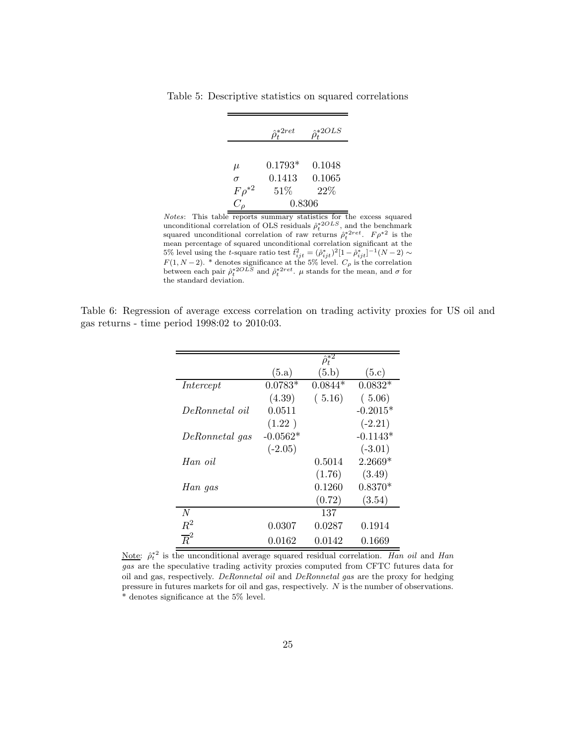|              | $\hat{z}$ * $2ret$ | 2*2OLS |
|--------------|--------------------|--------|
|              |                    |        |
| $\mu$        | $0.1793*$          | 0.1048 |
| $\sigma$     | 0.1413             | 0.1065 |
| $F\rho^{*2}$ | 51%                | $22\%$ |
|              | 0.8306             |        |

Table 5: Descriptive statistics on squared correlations

 $\frac{C_{\rho}}{Notes}$ : This table reports summary statistics for the excess squared unconditional correlation of OLS residuals  $\hat{\rho}_t^{*2OLS}$ , and the benchmark squared unconditional correlation of raw returns  $\hat{\rho}_t^{*2ret}$ .  $F \rho^{*2}$  is the mean percentage of squared unconditional correlation significant at the 5% level using the *t*-square ratio test  $\hat{t}_{ijt}^2 = (\hat{\rho}_{ijt}^*)^2 [1 - \hat{\rho}_{ijt}^*]^{-1} (N - 2) \sim$  $F(1, N-2)$ . \* denotes significance at the 5% level.  $C_{\rho}$  is the correlation between each pair  $\hat{\rho}_t^{*2OLS}$  and  $\hat{\rho}_t^{*2ret}$ .  $\mu$  stands for the mean, and  $\sigma$  for the standard deviation.

Table 6: Regression of average excess correlation on trading activity proxies for US oil and gas returns - time period 1998:02 to 2010:03.

|                  |            | $\hat{\rho}_t^{*2}$ |            |
|------------------|------------|---------------------|------------|
|                  | (5.a)      | (5.b)               | (5.c)      |
| Intercept        | $0.0783*$  | $0.0844*$           | $0.0832*$  |
|                  | (4.39)     | (5.16)              | (5.06)     |
| DeRonnetal oil   | 0.0511     |                     | $-0.2015*$ |
|                  | (1.22)     |                     | $(-2.21)$  |
| DeRonnetal gas   | $-0.0562*$ |                     | $-0.1143*$ |
|                  | $(-2.05)$  |                     | $(-3.01)$  |
| Han oil          |            | 0.5014              | $2.2669*$  |
|                  |            | (1.76)              | (3.49)     |
| Han gas          |            | 0.1260              | $0.8370*$  |
|                  |            | (0.72)              | (3.54)     |
| N                |            | 137                 |            |
| $R^2$            | 0.0307     | 0.0287              | 0.1914     |
| $\overline{R}^2$ | 0.0162     | 0.0142              | 0.1669     |
|                  |            |                     |            |

Note:  $\hat{\rho}_t^2$  is the unconditional average squared residual correlation. *Han oil* and *Han*  $\alpha e$ , are the speculative trading activity provise computed from CETC futures data for *gas* are the speculative trading activity proxies computed from CFTC futures data for oil and gas, respectively. *DeRonnetal oil* and *DeRonnetal gas* are the proxy for hedging pressure in futures markets for oil and gas, respectively. N is the number of observations. \* denotes significance at the 5% level.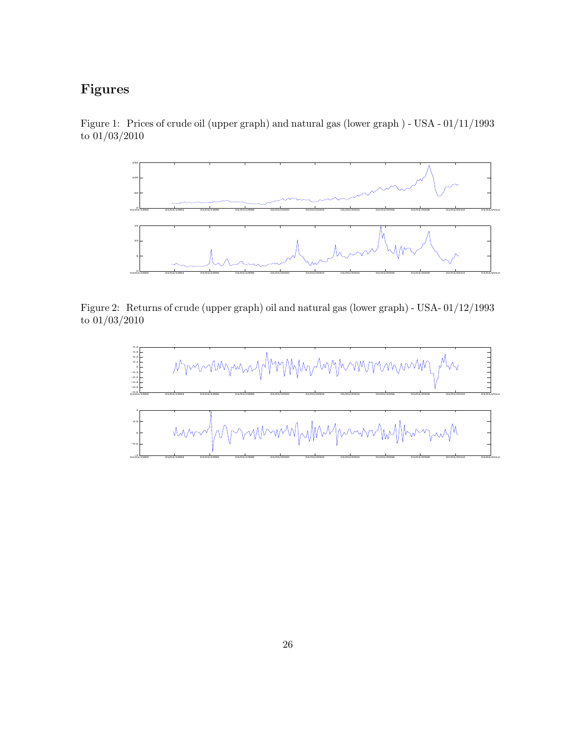## **Figures**





Figure 2: Returns of crude (upper graph) oil and natural gas (lower graph) - USA- 01/12/1993 to  $\overline{01/03/2010}$ 

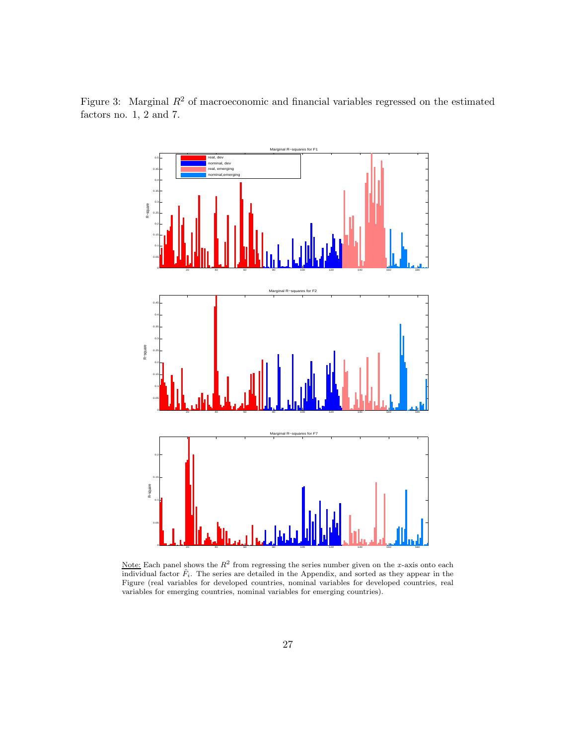Figure 3: Marginal  $R^2$  of macroeconomic and financial variables regressed on the estimated factors no.  $1, 2$  and 7.



Note: Each panel shows the  $R^2$  from regressing the series number given on the *x*-axis onto each individual factor  $\hat{F}_i$ . The series are detailed in the Appendix, and sorted as they appear in the Figure (real variables for developed countries, nominal variables for developed countries, real variables for emerging countries, nominal variables for emerging countries).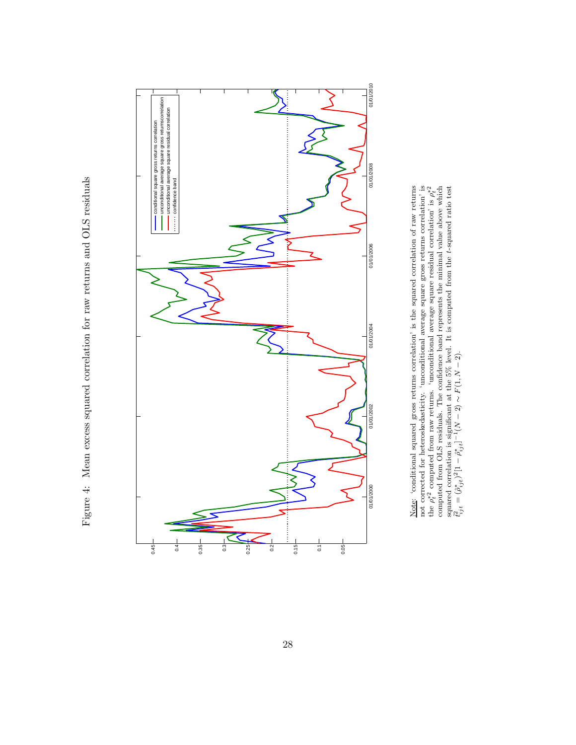Figure 4: Mean excess squared correlation for raw returns and OLS residuals Figure 4: Mean excess squared correlation for raw returns and OLS residuals



Note: 'conditional squared gross returns correlation' is the squared correlation of raw returns not corrected for heteroskedasticity. 'unconditional average square gross returns correlation' is the  $\rho_t^{*2}$  $\epsilon^*$ <sup>2</sup> computed from raw returns. 'unconditional average square residual correlation' is  $\rho_t^{*2}$  $\ddot{}$ computed from OLS residuals. The confidence band represents the minimal value above which squared correlation is significant at the 5% level. It is computed from the *t*-squared ratio test  $t_{ijt}^2 = (\hat{\rho}_{ijt}^*)^2$ [1  $- \hat{\rho}_{ijt}^* ]^{-1} (N$ <u>্</u>ব ∼  $F(1, N$  $\frac{2}{1}$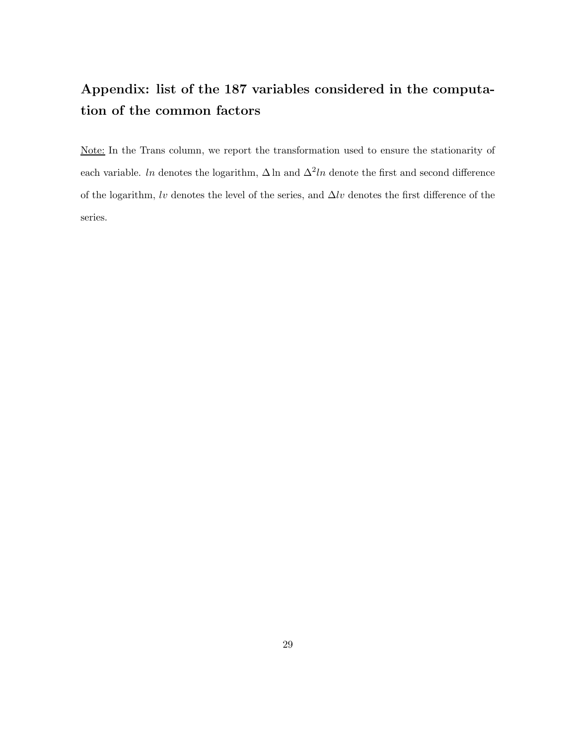## **Appendix: list of the 187 variables considered in the computation of the common factors**

Note: In the Trans column, we report the transformation used to ensure the stationarity of each variable. In denotes the logarithm,  $\Delta \ln$  and  $\Delta^2 \ln$  denote the first and second difference of the logarithm, lv denotes the level of the series, and  $\Delta l v$  denotes the first difference of the series.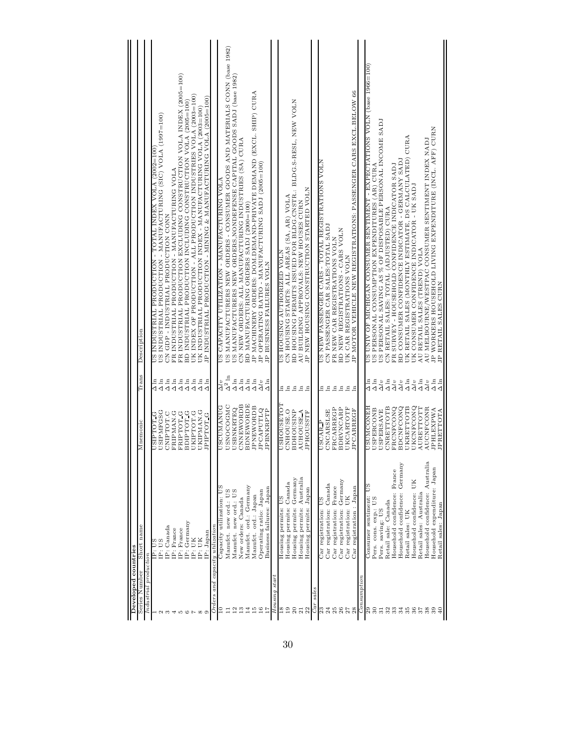| Developed countries   |                                 |                               |                              |                                                                                    |
|-----------------------|---------------------------------|-------------------------------|------------------------------|------------------------------------------------------------------------------------|
| Series Number         | Short name                      | Mnemonic                      | Trans                        | Description                                                                        |
| Industrial production |                                 |                               |                              |                                                                                    |
|                       | SN : dz                         | <b>DEDLEISO</b>               | $\sum_{n=1}^{n}$             | 001=7007) VTOA XHQNI TVLOL - NOLLONG DEN NORMANDE SO                               |
|                       | IP: US                          | USIPMFGSG                     | $\Delta\ln$                  | US INDUSTRIAL PRODUCTION - MANUFACTURING (SIC) VOLA (1997=100)                     |
|                       | IP: Canada                      | CNIPTOT.C                     | $\Delta$ ln                  | CN GDP - INDUSTRIAL PRODUCTION CONN                                                |
|                       | IP: France                      | FRIPMAN.G                     |                              | FR INDUSTRIAL PRODUCTION - MANUFACTURING VOLA                                      |
|                       | IP: France                      | FRIPTOT <sub>G</sub>          | $\Delta \ln$<br>$\Delta$     | FR INDUSTRIAL PRODUCTION EXCLUDING CONSTRUCTION VOLA INDEX (2005=100)              |
|                       | IP: Germany                     | BDIPTOT <sub>G</sub>          | $\Delta \ln$ $\Delta$        | BD INDUSTRIAL PRODUCTION INCLUDING CONSTRUCTION VOLA (2005=100)                    |
|                       | IP: UK                          | UKIPTOT.G                     |                              | UK INDEX OF PRODUCTION - ALL PRODUCTION INDUSTRIES VOLA (2003=100)                 |
|                       | IP: UK                          | UKIPMAN.G                     | $\Delta\ln$                  | UK INDUSTRIAL PRODUCTION INDEX - MANUFACTURING VOLA (2003=100)                     |
|                       | IP: Japan                       | JPIPTOT <sub>G</sub>          | $\Delta \ln$                 | IP INDUSTRIAL PRODUCTION - MINING & MANUFACTURING VOLA (2005=100)                  |
| <b>Urders</b>         | and capacity utilization        |                               |                              |                                                                                    |
|                       | Capacity utilization: US        | <b>DANVMADOSQ</b>             | $\Delta l v$                 | YTOA ĐNIHALOVAANVN - NOILVZITILA ALIOVAYO SA                                       |
|                       | Manufct. new ord.: US           | USNOCOGMC                     | $\Delta^2\ln$                | US MANUFACTURERS NEW ORDERS - CONSUMER GOODS AND MATERIALS CONN (base 1982)        |
| $\overline{c}$        | Manufct. new ord.: US           | <b>USBNKRTEQ</b>              | $\Delta\ln$                  | US MANUFACTURERS NEW ORDERS, NONDEFENSE CAPITAL GOODS SADJ (base 1982)             |
|                       | New orders: Canada              | CNNEWORDB                     | $\Delta\ln$                  | CN NEW ORDERS: ALL MANUFACTURING INDUSTRIES (SA) CURA                              |
| 14                    | Manufct. ord.: Germany          | <b>BDNEWORDE</b>              | $\Delta \ln$                 | BD MANUFACTURING ORDERS SADJ (2000=100)                                            |
| 15                    | Manufct. ord.: Japan            | <b>JPNEWORDB</b>              | $\Delta \ln$                 | JP MACHINERY ORDERS: DOM.DEMAND-PRIVATE DEMAND (EXCL. SHIP) CURA                   |
| $\frac{6}{1}$         | Operating ratio: Japan          | <b>JPCAPUTLQ</b>              | $\Delta l\,v$                | JP OPERATING RATIO - MANUFACTURING SADJ (2005=100)                                 |
|                       | Business failures: Japan        | JPBNKRPTP                     | $\Delta$ ln                  | BUSINESS FAILURES VOLN<br>$\mathbb{R}$                                             |
| Housing star          |                                 |                               |                              |                                                                                    |
| ≌                     | Housing permits:                | <b>USHOUSETO</b>              | Ξ                            | NTOA GEZIEOHLAV ĐNISAOH SA                                                         |
| $\overline{19}$       | Housing permits: Canada         | CNHOUSE.O                     | $\Xi$                        | CN HOUSING STARTS: ALL AREAS (SA, AR) VOLA                                         |
| 20                    | Housing permits: Germany        | <b>BDHOUSINP</b>              | $\mathbf{H}$                 | BD HOUSING PERMITS ISSUED FOR BLDG.CNSTR.: BLDG.S-RESL, NEW VOLN                   |
| $\overline{21}$       | Housing permits: Australia      | <b>AUHOUSE A</b>              | $E_{\rm H}$                  | AU BUILDING APPROVALS: NEW HOUSES CURN                                             |
| 22                    | Japan<br>Housing permits:       | <b>JPHOUSSTF</b>              |                              | NEW HOUSING CONSTRUCTION STARTED VOLN<br>Ä                                         |
| sales<br>Car          |                                 |                               |                              |                                                                                    |
| 23                    | Car registration: US            | USCAR P                       | Ξ                            | NTOA SNOLFVALSIÐEN GAFS - LOLVI FEGISLEVALDING AN                                  |
| 24                    | Car registration: Canada        | CNCARSLSE                     | $\Xi$                        | CN PASSENGER CAR SALES: TOTAL SADJ                                                 |
|                       | Car registration: France        | FRCARREGP                     | $\mathbf{E}$                 | FR NEW CAR REGISTRATIONS VOLN                                                      |
| 26                    | Car registration: Germany       | <b>BDRVNCARP</b>              | $\mathbf{h}$                 | BD NEW REGISTRATIONS - CARS VOLN                                                   |
| 27                    | Car registration: UK            | UKCARTOTF                     | 모두                           | UK CAR REGISTRATIONS VOLN                                                          |
| 28                    | Car registration: Japan         | <b>JPCARREGF</b>              |                              | JP MOTOR VEHICLE NEW REGISTRATIONS: PASSENGER CARS EXCL.BELOW 66                   |
| Consumption           |                                 |                               |                              |                                                                                    |
| ని                    | Consumer sentiment: US          | HENOOMNSN<br><b>USPERCONB</b> | $\Delta \ln$<br>$\Delta \ln$ | <u>(001–9965 988q) NICHICAN CONSUNANNENG ANGININAS REINOS NON DIRON AO AINU SU</u> |
| $\boldsymbol{50}$     | Pers. cons. exp.: US            |                               |                              | US PERSONAL CONSUMPTION EXPENDITURES (AR) CURA                                     |
| $\overline{31}$       | Pers. saving: US                | <b>USPERSAVE</b>              | $\Delta l\,v$                | US PERSONAL SAVING AS % OF DISPOSABLE PERSONAL INCOME SADJ                         |
| 32                    | Retail sale: Canada             | CNRETTOTB                     | $\Delta$ ln                  | CN RETAIL SALES: TOTAL (ADJUSTED) CURA                                             |
| 33                    | Household confidence: France    | FRCNFCONQ                     | $\Delta l\,v$                | FR SURVEY - HOUSEHOLD CONFIDENCE INDICATOR SADJ                                    |
| 34                    | Household confidence: Germany   | <b>BDCNFCONQ</b>              | $\Delta l\,v$                | BD CONSUMER CONFIDENCE INDICATOR - GERMANY SADJ                                    |
| 35                    | Retail sales: UK                | UKRETTOTB                     | $\Delta$ ln                  | UK RETAIL SALES (MONTHLY ESTIMATE, DS CALCULATED) CURA                             |
| 36                    | UК<br>Household confidence:     | UKCNFCONQ                     | $\Delta l\,v$                | UK CONSUMER CONFIDENCE INDICATOR - UK SADJ                                         |
| 75                    | Retail sales: Australia         | AURETTOTT                     | $\Delta$ ln                  | AU RETAIL SALES (TREND) VOLA                                                       |
| 38                    | Household confidence: Australia | AUCNFCONR                     | $\Delta l\,v$                | AU MELBOURNE/WESTPAC CONSUMER SENTIMENT INDEX NADJ                                 |
|                       | Household expenditure: Japan    | JPHLEXPWA                     | $\Delta \ln$                 | JP WORKERS HOUSEHOLD LIVING EXPENDITURE (INCL. AFF) CURN                           |
|                       | Retail sales: Japan             | JPRETTOTA                     | $\sum_{n=1}^{n}$             | JP RETAIL SALES CURN                                                               |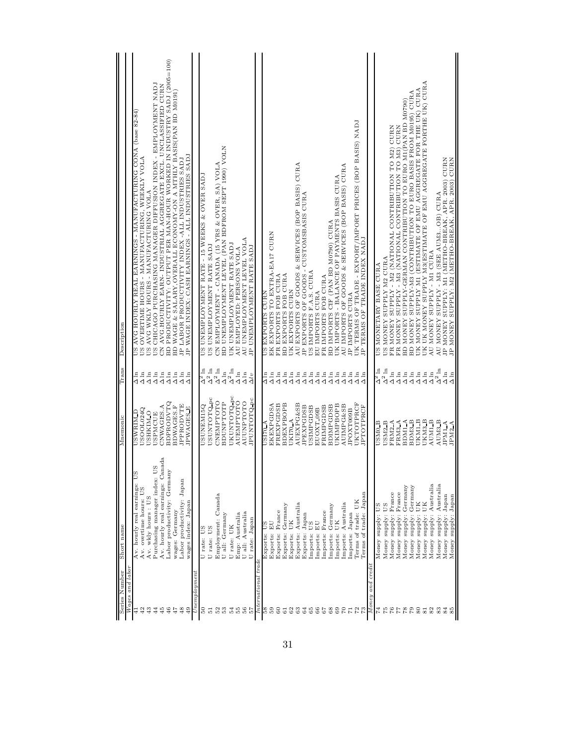| $Wages$ and labor<br>Series Number | S<br>Av. hourly real earnings:<br>Short name                               | <b>USWRIM D</b><br>Mnemonic          | Trans<br>$\Delta \ln$        | (18-28 9884) ANOO OMITULOVANNA - SONINYNA TYAR ATAIOOH OAY SO<br>Description                                                        |
|------------------------------------|----------------------------------------------------------------------------|--------------------------------------|------------------------------|-------------------------------------------------------------------------------------------------------------------------------------|
|                                    | Av. overtime hours: US<br>Av. wkly hours: US                               | USOOL024Q<br><b>USHKIM O</b>         | $\Delta$ ln<br>$\Delta$ ln   | US OVERTIME HOURS - MANUFACTURING, WEEKLY VOLA<br>US AVG WKLY HOURS - MANUFACTURING VOLA                                            |
|                                    | Av. hourly real earnings: Canada<br><b>DS</b><br>Purchasing manager index: | CNWAGES.A<br><b>USPMCUE</b>          | $\Delta$ ln<br>$\Delta \ln$  | US CHICAGO PURCHASING MANAGER DIFFUSION INDEX - EMPLOYMENT NADJ<br>CN AVG HOURLY EARN- INDUSTRIAL AGGREGATE EXCL. UNCLASSIFIED CURN |
|                                    | Labor productivity: Germany                                                | <b>BDPRODVTQ</b>                     | $\Delta\ln$                  | BD PRODUCTIVITY: OUTPUT PER MAN-HOUR WORKED IN INDUSTRY SADJ (2005=100)                                                             |
|                                    | Labor productivity: Japan<br>wages: Germany                                | <b>JPPRODVTE</b><br>BDWAGES.F        | $\Delta\ln$<br>$\Delta\ln$   | BD WAGE & SALARY, OVERALL ECONOMY-ON A MTHLY BASIS(PAN BD M0191)<br>JP LABOR PRODUCTIVITY INDEX -ALL INDUSTRIES SADJ                |
|                                    | wages index: Japan                                                         | <b>JPWAGES E</b>                     | $\Delta$ ln                  | JP WAGE INDEX: CASH EARNINGS - ALL INDUSTRIES SADJ                                                                                  |
| Unemplogmen                        |                                                                            |                                      |                              |                                                                                                                                     |
|                                    | U rate: US                                                                 | USUNEM15Q                            | $\Delta^2$ ln                | US UNEMPLOYMENT RATE - 15 WEEKS & OVER SADJ                                                                                         |
|                                    | U rate: US                                                                 | USUNTOTQ pc                          | $\Delta^2$ ln                | US UNEMPLOYMENT RATE SADJ                                                                                                           |
|                                    | Employment: Canada                                                         | <b>CNEMPTOTO</b><br><b>BDUNPTOTP</b> | $\Delta^2$ ln<br>$\Delta\ln$ | BD UNEMPLOYMENT LEVEL (PAN BDFROM SEPT 1990) VOLN<br>CN EMPLOYMENT - CANADA (15 YRS & OVER, SA) VOLA                                |
|                                    | U all: Germany                                                             | UKUNTOTQ pc                          | $\Delta^2$ ln                | UK UNEMPLOYMENT RATE SADJ                                                                                                           |
|                                    | Emp: Australia<br>U rate: UK                                               | <b>AUEMPTOTO</b>                     | $\Delta\ln$                  | AU EMPLOYED: PERSONS VOLA                                                                                                           |
|                                    | U all: Australia                                                           | <b>AUUNPTOTO</b>                     | $\Delta \ln$                 | AU UNEMPLOYMENT LEVEL VOLA                                                                                                          |
|                                    | U rate: Japan                                                              | JPUNTOTQ_pc                          | $\Delta l v$                 | JP UNEMPLOYMENT RATE SADJ                                                                                                           |
| International trade                |                                                                            |                                      |                              |                                                                                                                                     |
|                                    | Exports: US                                                                | <b>V 04ISO</b>                       | $\Delta \ln$                 | US EXPORTS CURN                                                                                                                     |
|                                    | EU<br>Exports:                                                             | EKEXPGDSA<br>FREXPGDSB               | $\Delta$ ln<br>$\Delta \ln$  | EK EXPORTS TO EXTRA-EA17 CURN<br>FR EXPORTS FOB CURA                                                                                |
|                                    | Germany<br>France<br>Exports:<br>Exports:                                  | <b>BDEXPBOPB</b>                     | $\Delta$ ln                  | BD EXPORTS FOB CURA                                                                                                                 |
|                                    | UК<br>Exports:                                                             | UKI70 A                              | $\Delta \ln$                 | UK EXPORTS CURN                                                                                                                     |
|                                    | Australia<br>Exports:                                                      | AUEXPG&SB                            | $\Delta$ ln                  | AU EXPORTS OF GOODS & SERVICES (BOP BASIS) CURA                                                                                     |
|                                    | Japan<br>Exports:                                                          | <b>JPEXPGDSB</b>                     | $\Delta$ ln                  | JP EXPORTS OF GOODS - CUSTOMSBASIS CURA                                                                                             |
|                                    | $_{\rm EI}$<br><b>DD</b><br>Imports:                                       | USIMPGDSB<br>EUOXT 09B               | $\Delta\ln$<br>$\Delta$ ln   | US IMPORTS F.A.S. CURA<br>EU IMPORTS CURA                                                                                           |
|                                    | France<br>Imports:<br>Imports:                                             | FRIMPGDSB                            | $\Delta$ ln                  | FRIMPORTS FOB CURA                                                                                                                  |
|                                    | Germany<br>Imports:                                                        | <b>BDIMPGDSB</b>                     | $\Delta\ln$                  | BD IMPORTS CIF (PAN BD M0790) CURA                                                                                                  |
|                                    | UK<br>Imports:                                                             | UKIMPBOPB                            | $\Delta\ln$                  | UK IMPORTS - BALANCE OF PAYMENTS BASIS CURA                                                                                         |
|                                    | Imports: Australia                                                         | <b>AUIMPG&amp;SB</b>                 | $\Delta \ln$                 | AU IMPORTS OF GOODS & SERVICES (BOP BASIS) CURA                                                                                     |
|                                    | Terms of trade: UK<br>Imports: Japan                                       | UKTOTPRCF<br>JPOXT009B               | $\Delta \ln$                 | UK TERMS OF TRADE - EXPORT/IMPORT PRICES (BOP BASIS) NADJ<br>JP IMPORTS CURA                                                        |
|                                    | Terms of trade: Japan                                                      | IPTOTPRCF                            | $\Delta$ in                  | JP TERMS OF TRADE INDEX NADJ                                                                                                        |
| Money and credit                   |                                                                            |                                      |                              |                                                                                                                                     |
|                                    | Money supply: US                                                           | USMO <sub>B</sub>                    | $\mathbb{H}_{\mathbb{Z}}$    | US MONETARY BASE CURA                                                                                                               |
|                                    | Money supply: US                                                           | USM <sub>2</sub> B                   | $\Delta^2\ln$                | US MONEY SUPPLY M2 CURA                                                                                                             |
|                                    | Money supply: France                                                       | FRM <sub>2</sub> A                   | $\Delta\ln$                  | FR MONEY SUPPLY - M2 (NATIONAL CONTRIBUTION TO M2) CURN                                                                             |
|                                    | France<br>Money supply:                                                    | FRM3 A                               | $\Delta\ln$                  | FR MONEY SUPPLY - M3 (NATIONAL CONTRIBUTION TO M3) CURN                                                                             |
|                                    | Germany<br>Money supply:                                                   | BDM1 A                               | $\Delta$ ln                  | BD MONEY SUPPLY-GERMAN CONTRIBUTION TO EURO M1(PAN BD M0790)                                                                        |
|                                    | Germany<br>UK<br>Money supply:                                             | UKM1_B<br>BDM3B                      | $\Delta$ ln<br>$\Delta\ln$   | BD MONEY SUPPLY-M3 (CONTRIBUTION TO EURO BASIS FROM M0195) CURA                                                                     |
|                                    | Money supply: UK<br>Money supply:                                          | UKM3 B                               | $\Delta\ln$                  | UK MONEY SUPPLY M1 (ESTIMATE OF EMU AGGREGATE FOR THE UK) CURA<br>UK UK MONEY SUPPLY M3(ESTIMATE OF EMU AGGREGATE FORTHE UK) CURA   |
|                                    | Australia<br>Money supply:                                                 | AUM1 B                               | $\Delta \ln$                 | AU MONEY SUPPLY - MI CURA                                                                                                           |
|                                    | Money supply: Australia                                                    | AUM3 B                               | $\Delta^2$ ln                | AU MONEY SUPPLY - M3 (SEE AUM3OB) CURA                                                                                              |
|                                    | Japan<br>Money supply:                                                     | JPM1 A                               | $\Delta$ ln                  | JP MONEY SUPPLY: M1 (METHO-BREAK, APR. 2003) CURN JP MONEY SUPPLY: M2 (METHO-BREAK, APR. 2003) CURN                                 |
|                                    | Money supply: Japan                                                        | JPM2A                                | $\Delta$ ln                  |                                                                                                                                     |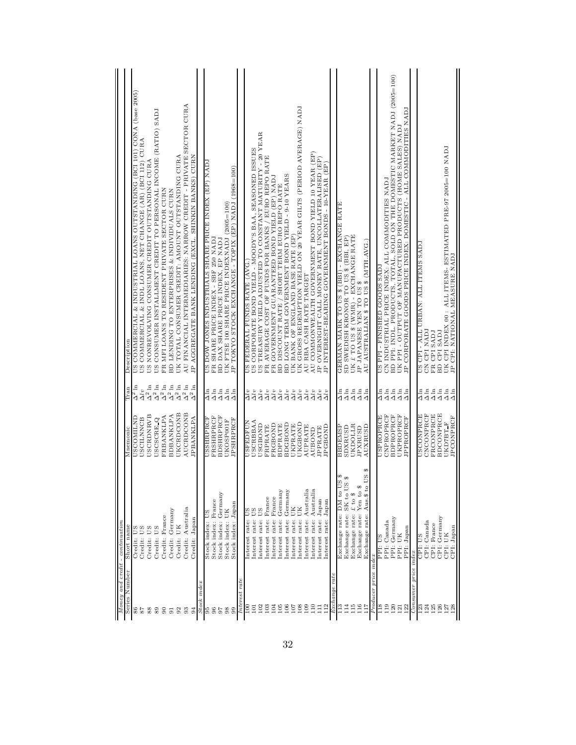| Money and credit                | $-$ continuation                                                               |                               |                                |                                                                                                                               |
|---------------------------------|--------------------------------------------------------------------------------|-------------------------------|--------------------------------|-------------------------------------------------------------------------------------------------------------------------------|
| Series Number                   | Short name                                                                     | Mnemonic                      | <b>Tran</b>                    | Description                                                                                                                   |
|                                 |                                                                                |                               |                                |                                                                                                                               |
| 88                              | Credit: US<br>Credit: US                                                       | USCOMILND                     | $\Delta^2\ln$                  | US COMMERCIAL & INDUSTRIAL LOANS OUTSTANDING (BCI 101) CONA (base 2005)                                                       |
|                                 | US<br>Credit:                                                                  | USCRDNRVB<br><b>USCILNNCB</b> | $\Delta^2 \ln$<br>$\Delta l v$ | US COMMERCIAL & INDL LOANS, NET CHANGE (AR) (BCI 112) CURA<br>US NONREVOLVING CONSUMER CREDIT OUTSTANDING CURA                |
| 88                              |                                                                                |                               | $\Delta^2 \ln$                 |                                                                                                                               |
| 89                              | US<br>Credit:                                                                  | USCSCRE Q                     |                                | US CONSUMER INSTALLMENT CREDIT TO PERSONAL INCOME (RATIO) SADJ                                                                |
| $\infty$                        | Credit: France                                                                 | FRBANKLPA                     | $\Delta^2\ln$                  | FR MFI LOANS TO RESIDENT PRIVATE SECTOR CURN                                                                                  |
| 51                              | Credit: Germany                                                                | <b>BDBANKLPA</b>              | $\Delta^2\ln$                  | BD LENDING TO ENTERPRISES & INDIVIDUALS CURN                                                                                  |
| 92                              | UK<br>Credit:                                                                  | UKCRDCONB                     | $\Delta^2\ln$                  | UK TOTAL CONSUMER CREDIT: AMOUNT OUTSTANDING CURA                                                                             |
| 93                              | Credit: Australia                                                              | <b>AUCRDCONB</b>              | $\Delta^2 \ln$                 | AU FINANCIAL INTERMEDIARIES: NARROW CREDIT - PRIVATE SECTOR CURA                                                              |
| 34                              | Credit: Japan                                                                  | <b>JPBANKLPA</b>              | $\Delta^2\ln$                  | JP AGGREGATE BANK LENDING (EXCL. SHINKIN BANKS) CURN                                                                          |
| Stock index                     |                                                                                |                               |                                |                                                                                                                               |
|                                 | Stock index:                                                                   | USSHRPRCF                     |                                | US DOW JONES INDUSTRIALS SHARE PRICE INDEX (EP) NADJ                                                                          |
| 66                              | France<br>Stock index:                                                         | FRSHRPRCF                     | $\frac{1}{4}$ in               | SHARE PRICE INDEX - SBF 250 NADJ<br>$_{\rm FR}$                                                                               |
|                                 | Germany<br>Stock index:                                                        | <b>BDSHRPRCF</b>              | $\Delta \ln$                   | BD DAX SHARE PRICE INDEX, EP NADJ                                                                                             |
| $_{\rm 98}$<br>G.               | Stock index: Japan<br>UK<br>Stock index:                                       | <b>JPSHRPRCF</b><br>UKOSP001F | $\Delta \ln$<br>$\Delta$       | JP TOKYO STOCK EXCHANGE - TOPIX (EP) NADJ (1968=100)<br>UK FTSE 100 SHARE PRICE INDEXNADJ (2005=100)                          |
| Interest rate                   |                                                                                |                               |                                |                                                                                                                               |
|                                 |                                                                                |                               |                                |                                                                                                                               |
| $\frac{1}{2}$<br>$\overline{0}$ | Interest rate: US<br>Interest rate: US                                         | <b>USCRBBAA</b><br>USFEDFUN   | $\sqrt{2}$<br>$\Delta l\,v$    | US CORPORATE BOND YIELD - MOODY'S BAA, SEASONED ISSUES<br>US FEDERAL FUNDS RATE (AVG.)                                        |
| 102                             |                                                                                | <b>USGBOND</b>                | $\Delta l v$                   | US TREASURY YIELD ADJUSTED TO CONSTANT MATURITY - 20 YEAR                                                                     |
| 103                             | France<br>Interest rate:<br>Interest rate:                                     | <b>FRPRATE</b>                | $\Delta l v$                   | AVERAGE COST OF FUNDS FOR BANKS / EURO REPO RATE<br>$_{\rm FR}$                                                               |
| 104                             | France<br>Interest rate:                                                       | FRGBOND                       | $\Delta l v$                   | FR GOVERNMENT GUARANTEED BOND YIELD (EP) NADJ                                                                                 |
| 105                             | Germany<br>Interest rate:                                                      | <b>BDPRATE</b>                | $\Delta^{l}v$                  | BD DISCOUNT RATE / SHORT TERM EURO REPO RATE                                                                                  |
| $\frac{8}{10}$                  | Germany<br>Interest rate:                                                      | <b>BDGBOND</b>                | $\Delta l\,v$                  | BD LONG TERM GOVERNMENT BOND YIELD - 9-10 YEARS                                                                               |
| 107                             | UK<br>Interest rate:                                                           | UKPRATE                       | $\Delta l v$                   | UK BANK OF ENGLAND BASE RATE (EP)                                                                                             |
| 108                             | UК<br>Interest rate:                                                           | UKGBOND                       | $\Delta^{l}v$                  | UK GROSS REDEMPTION YIELD ON 20 YEAR GILTS (PERIOD AVERAGE) NADJ                                                              |
| 109                             | Australia<br>Interest rate:                                                    | <b>AUPRATE</b>                | $\Delta l v$                   | AU RBA CASH RATE TARGET                                                                                                       |
| $\frac{0}{10}$                  | Australia<br>Interest rate:                                                    | <b>AUBOND</b>                 | $\Delta l v$                   | AU COMMONWEALTH GOVERNMENT BOND YIELD 10 YEAR (EP)                                                                            |
| Ē                               | $_{\rm Japan}$<br>Interest rate:                                               | <b>JPPRATE</b>                | $\Delta l v$                   | JP OVERNIGHT CALL MONEY RATE, UNCOLLATERALISED (EP)                                                                           |
| 112                             | Japan<br>Interest rate:                                                        | <b>IPGBOND</b>                | $\Delta l v$                   | JP INTEREST-BEARING GOVERNMENT BONDS - 10-YEAR (EP)                                                                           |
| Exchange rate                   |                                                                                |                               |                                |                                                                                                                               |
| $\frac{3}{11}$                  | e<br>S<br>Exchange rate: DM to                                                 | <b>ASNETER</b>                | $\frac{1}{4}$ in               | GERMAN MARK TO US \$ (BBI) - EXCHANGE RATE                                                                                    |
| 114                             | $\Theta$<br>ØΩ<br>Exchange rate: SK to U                                       | SDXRUSD                       |                                | SD SWEDISH KRONOR TO US \$ (BBI, EP)                                                                                          |
| 115                             | £ to \$<br>Exchange rate:                                                      | UKDOLLR                       |                                | UK £ TO US \$ (WMR) - EXCHANGE RATE JP JAPANESE YEN TO US \$                                                                  |
| 116<br>117                      | US \$<br>Yen to $\frac{6}{5}$<br>Aus.\$ to<br>Exchange rate:<br>Exchange rate: | AUXRUSD<br><b>JPXRUSD</b>     | $\frac{444}{44}$               | AU AUSTRALIAN \$ TO US \$ (MTH.AVG.)                                                                                          |
| Producer price                  | index                                                                          |                               |                                |                                                                                                                               |
| $^{18}$                         | PPI: US                                                                        | USPROPRCE                     |                                | LARS SAOOD AHSINIA - Idd SA                                                                                                   |
| 119                             | PPI: Canada                                                                    | CNPROPRCF                     | $\frac{1}{4}$ in               | CN INDUSTRIAL PRICE INDEX: ALL COMMODITIES NADJ                                                                               |
| 120                             | PPI: Germany                                                                   | <b>BDPROPRCF</b>              | $\Delta\ln$                    | BD PPI: INDL. PRODUCTS, TOTAL, SOLD ON THE DOMESTIC MARKET NADJ (2005=100)                                                    |
| 122<br>121                      | PPI: Japan<br>PPI: UK                                                          | UKPROPRCF<br><b>JPPROPRCF</b> | $\Delta \ln$<br>$\Delta \ln$   | JP CORPORATE GOODS PRICE INDEX: DOMESTIC - ALL COMMODITIES NADJ<br>UK PPI - OUTPUT OF MANUFACTURED PRODUCTS (HOME SALES) NADJ |
|                                 |                                                                                |                               |                                |                                                                                                                               |
| Consumer price                  | index                                                                          |                               |                                |                                                                                                                               |
| 123<br>124                      | CPI: Canada<br><b>CO</b><br>CPI:                                               | CNCONPRCF<br><b>TOHANOOSO</b> | $\frac{4}{4}$ in               | US CPI - ALL URBAN: ALL ITEMS SADJ<br>CN CPI NADJ                                                                             |
| 125                             | CPI: France                                                                    | FRCONPRCE                     | $\Delta \ln$                   | FR CPISADJ                                                                                                                    |
| 126                             | CPI: Germany                                                                   | <b>BDCONPRCE</b>              | $\Delta \ln$                   | BD CPI SADJ                                                                                                                   |
| 127                             | CPI: UK                                                                        | UKD7BT F                      | $\Delta\ln$                    | UK CPI INDEX 00 : ALL ITEMS- ESTIMATED PRE-97 2005=100 NADJ                                                                   |
| $^{128}$                        | CPI: Japan                                                                     | <b>JPCONPRCF</b>              | $\Delta \ln$                   | JP CPI: NATIONAL MEASURE NADJ                                                                                                 |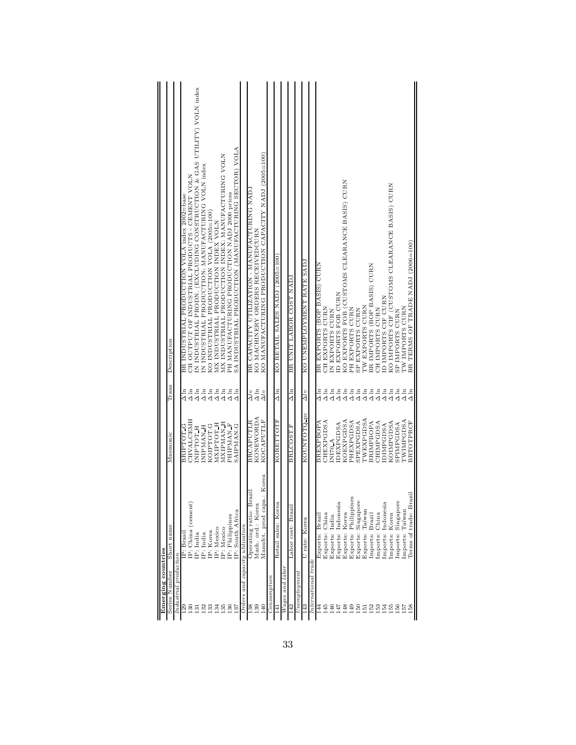|                    | Description   |                          | CH OUTPUT OF INDUSTRIAL PRODUCTS - CEMENT VOLN<br>BR INDUSTRIAL PRODUCTION VOLA index 2002=base | IN INDUSTRIAL PRODN. (EXCLUDING CONSTRUCTION & GAS UTILITY) VOLN index | IN INDUSTRIAL PRODUCTION: MANUFACTURING VOLN index | KO INDUSTRIAL PRODUCTION VOLA (2005=100) | MX INDUSTRIAL PRODUCTION INDEX VOLN | MX INDUSTRIAL PRODUCTION INDEX: MANUFACTURING VOLN | PH MANUFACTURING PRODUCTION NADJ 2000 prices | SA INDUSTRIAL PRODUCTION (MANUFACTURING SECTOR) VOLA |                                   | BR CAPACITY UTILIZATION - MANUFACTURING NAD. | KO MANUFACTURING PRODUCTION CAPACITY NADJ (2005=100)<br>KO MACHINERY ORDERS RECEIVEDCURN |             | KO RETAIL SALES NADJ (2005=100) |                   | BR UNIT LABOR COST NADJ |              | KO UNEMPLOYMENT RATE SADJ |                     | BR EXPORTS (BOP BASIS) CURN | CH EXPORTS CURN   | IN EXPORTS CURN | ID EXPORTS FOB CURN | KO EXPORTS FOB (CUSTOMS CLEARANCE BASIS) CURN | PH EXPORTS CURN         | SP EXPORTS CURN       | TW EXPORTS CURN    | BRIMPORTS (BOP BASIS) CURN | CH IMPORTS CURN | ID IMPORTS CIF CURN | KO IMPORTS CIF (CUSTOMS CLEARANCE BASIS) CURN | SP IMPORTS CURN    | TW IMPORTS CURN | BR TERMS OF TRADE NADJ (2006=100) |
|--------------------|---------------|--------------------------|-------------------------------------------------------------------------------------------------|------------------------------------------------------------------------|----------------------------------------------------|------------------------------------------|-------------------------------------|----------------------------------------------------|----------------------------------------------|------------------------------------------------------|-----------------------------------|----------------------------------------------|------------------------------------------------------------------------------------------|-------------|---------------------------------|-------------------|-------------------------|--------------|---------------------------|---------------------|-----------------------------|-------------------|-----------------|---------------------|-----------------------------------------------|-------------------------|-----------------------|--------------------|----------------------------|-----------------|---------------------|-----------------------------------------------|--------------------|-----------------|-----------------------------------|
|                    | Trans         |                          | $\Delta$ ln<br>$\sum_{n=1}^{n}$                                                                 | $\Delta \ln$                                                           | $\Delta\ln$                                        |                                          | $\frac{15}{444}$                    |                                                    | $\Delta\ln$                                  | $\Delta$ ln                                          |                                   | $\Delta v$                                   | $\Delta \ln$<br>$\Delta l v$                                                             |             | $\Delta \ln$                    |                   | $\Delta \ln$            |              | $\Delta l v$              |                     | $\Delta \ln$                | $\Delta$ ln       | $\Delta$ ln     | $\Delta\ln$         | $\Delta$ in $\Delta$                          |                         | $\Delta\ln$           | $\Delta\ln$        | $\Delta\ln$                |                 | $\frac{15}{444}$    |                                               | $\Delta \ln$       | $\Delta \ln$    | $\Delta$ ln                       |
|                    | Mnemonic      |                          | CHVALCEMH<br>BRIPTOT G                                                                          | INIPTOT H                                                              | <b>H_NANTRININ</b>                                 | KOIPTOT.G                                | МХІРТОТ Н                           | MXIPMAN H                                          | PHIPMAN F                                    | SAIPMAN.G                                            |                                   | <b>BRCAPUTLR</b>                             | KONEWORDA<br>KOCAPUTLF                                                                   |             | KORETTOTF                       |                   | <b>BRLCOST.F</b>        |              | KOUNTOTQ <sub>pc</sub>    |                     | BREXPBOPA                   | CHEXPGDSA         | <b>NI70 A</b>   | <b>IDEXPGDSA</b>    | KOEXPGDSA                                     | PHEXPGDSA               | <b>SPEXPGDSA</b>      | TWEXPGDSA          | BRIMPBOPA                  | CHIMPGDSA       | <b>IDIMPGDSA</b>    | KOIMPGDSA                                     | SPIMPGDSA          | TWIMPGDSA       | <b>BRTOTPRCF</b>                  |
| Emerging countries | Short name    | $In dustrial$ production | IP: China (cement<br>(P: Brasi                                                                  | [P: India                                                              | IP: India                                          | IP: Korea                                | [P: Mexico                          | IP: Mexico                                         | IP: Philippines                              | IP: South Africa                                     | $Orders$ and capacity utilization | Operating ratio: Brazil                      | ba.: Korea<br>Mach. ord.: Korea<br>Manufct. prod cap                                     |             | Korea<br>Retail sales:          |                   | Labor cost: Brazi       |              | U rate: Korea             | International trade | Exports: Brazil             | China<br>Exports: | Exports: India  | Exports: Indonesi   | Exports: Korea                                | Philippines<br>Exports: | Singapore<br>Exports: | Taïwan<br>Exports: | Imports: Brazil            | Imports: China  | Imports: Indonesi   | Imports: Korea                                | Imports: Singapore | Imports: Taïwan | razil<br>Terms of trade: B        |
|                    | Series Number |                          | 129<br>130                                                                                      | 131                                                                    | 132                                                | 133                                      | 134                                 | 135                                                | 136                                          | 137                                                  |                                   | 138                                          | 139<br>140                                                                               | Consumption | 4                               | $Wages$ and labor | 142                     | Unemplogment | 143                       |                     | 144                         | 145               | 146             | 147                 | 148                                           | 149                     | 150                   | 151                | 152                        | 153             | 154                 | 155                                           | 156                | 157             | 158                               |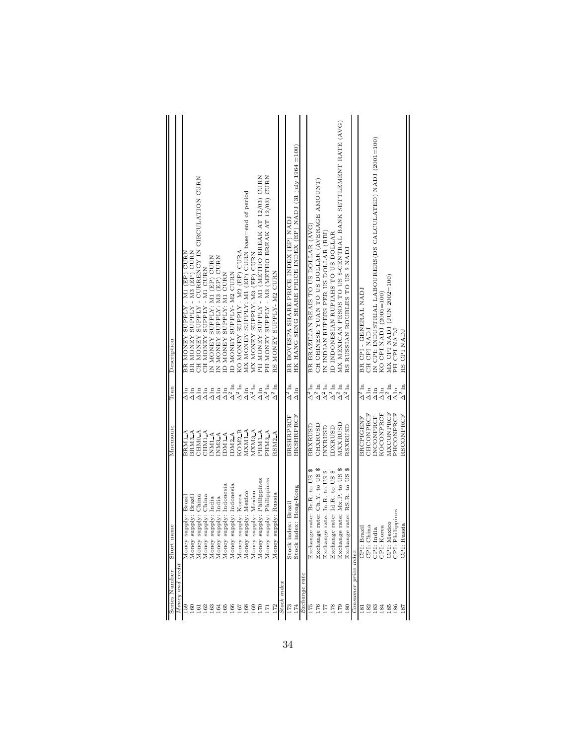| Series Number        | me<br>Short na                       | Mnemonic           | Tran                                                             | Description                                                   |
|----------------------|--------------------------------------|--------------------|------------------------------------------------------------------|---------------------------------------------------------------|
| Money and credit     |                                      |                    |                                                                  |                                                               |
| 691                  | upply: Brazi<br>Money sı             | BRMIA              | $\frac{1}{\Delta}$                                               | N'E L'AILLET (EP) CURN<br><b>AHNOM HEA</b>                    |
| 160                  | Money supply: Brazil                 | BRM3 A             | $\Delta \ln$                                                     | BR MONEY SUPPLY - M3 (EP) CURN                                |
| 161                  | China<br>upply:<br>Money sı          | CHM <sub>0</sub> A | $\Delta \ln$                                                     | CH MONEY SUPPLY - CURRENCY IN CIRCULATION CURN                |
| 162                  | upply: China<br>Money sr             | CHM1 <sup>A</sup>  | $\Delta\ln$                                                      | CH MONEY SUPPLY - M1 CURN                                     |
| 163                  | upply: India<br>Money si             | INM1 A             | $\Delta\ln$                                                      | IN MONEY SUPPLY: M1 (EP) CURN                                 |
| 164                  | upply: India<br>Money si             | INM3 A             | $\Delta \ln$                                                     | IN MONEY SUPPLY: M3 (EP) CURN                                 |
| 165                  | upply: Indonesia<br>Money sı         | DM1 A              |                                                                  | ID MONEY SUPPLY: M1 CURN                                      |
| 166                  | upply: Indonesia<br>Money sı         | DM2 A              | $\begin{array}{l}\Delta\ln\\\Delta^2\ln\\\Delta^2\ln\end{array}$ | ID MONEY SUPPLY-M2 CURN                                       |
| 167                  | upply: Korea<br>Money sı             | KOM <sub>2</sub> B |                                                                  | KO MONEY SUPPLY - M2 (EP) CURA                                |
| 168                  | upply: Mexico<br>Money si            | MXM1 A             | $\Delta\ln$                                                      | MX MONEY SUPPLY: M1 (EP) CURN base=end of period              |
| 169                  | Money supply: Mexico                 | MXM3 A             | $\Delta^2\ln$                                                    | MX MONEY SUPPLY: M3 (EP) CURN                                 |
| 170                  | upply: Philippines<br>Money sı       | PHM1 A             | $\Delta \ln$                                                     | PH MONEY SUPPLY - M1 (METHO BREAK AT 12/03) CURN              |
| F                    | Money supply: Philippines            | PHM3 A             | $\Delta^2\ln$                                                    | PH MONEY SUPPLY - M3 (METHO BREAK AT 12/03) CURN              |
| 172                  | upply: Russia<br>ũ,<br>Money         | RSM <sub>2</sub> A | $\Delta^2\ln$                                                    | RS MONEY SUPPLY-M2 CURN                                       |
| Stock index          |                                      |                    |                                                                  |                                                               |
| 173                  | Stock index: Brazil                  | <b>BRSHRPRCF</b>   | $\Delta^2$ ln                                                    | BR BOVESPA SHARE PRICE INDEX (EP) NADJ                        |
| 174                  | Stock index: Hong-Kong               | <b>HKSHRPRCF</b>   | $\Delta \ln$                                                     | HK HANG SENG SHARE PRICE INDEX (EP) NADJ (31 july 1964 = 100) |
| Exchange rate        |                                      |                    |                                                                  |                                                               |
| 175                  | G<br>e rate: Br.R. to US<br>Exchang  | BRXRUSD            | $\Delta^2$ ln                                                    | BR BRAZILIAN REAIS TO US DOLLAR (AVG)                         |
| 176                  | e rate: Ch.Y. to US \$<br>Exchang    | CHXRUSD            | $\Delta^2\ln$                                                    | CH CHINESE YUAN TO US DOLLAR (AVERAGE AMOUNT)                 |
| 177                  | rate: In.R. to US \$<br>¢<br>Exchang | <b>INXRUSD</b>     | $\Delta^2\ln$                                                    | IN INDIAN RUPEES PER US DOLLAR (RBI)                          |
| 178                  | rate: Id.R. to US \$<br>Exchange     | <b>IDXRUSD</b>     | $\Delta^2\ln$                                                    | ID INDONESIAN RUPIAHS TO US DOLLAR                            |
| 179                  | e rate: Mx.P. to US \$<br>Exchang    | MXXRUSD            | $\Delta^2\ln$                                                    | MX MEXICAN PESOS TO US \$-CENTRAL BANK SETTLEMENT RATE (AVG)  |
| 180                  | RS.R. to US \$<br>e rate:<br>Exchang | RSXRUSD            | $\Delta^2\ln$                                                    | RS RUSSIAN ROUBLES TO US \$ NADJ                              |
| Consumer price index |                                      |                    |                                                                  |                                                               |
| $\overline{181}$     | CPI: Brazil                          | <b>BRCPIGENF</b>   | $\Delta^2$ ln                                                    | BR CPI - GENERAL NADJ                                         |
| 182                  | CPI: China                           | CHCONPRCF          | $\Delta \ln$                                                     | CH CPI NADJ                                                   |
| 183                  | CPI: India                           | INCONPRCF          | $\Delta\ln$                                                      | IN CPI: INDUSTRIAL LABOURERS(DS CALCULATED) NADJ (2001=100)   |
| 184                  | CPI: Korea                           | KOCONPRCF          | $\Delta_{\rm 2\,ln}^{\rm ln}$                                    | KO CPI NADJ (2005=100)                                        |
| 185                  | CPI: Mexico                          | MXCONPRCF          |                                                                  | MX CPI NADJ (JUN 2002=100)                                    |
| 186                  | CPI: Philippines                     | PHCONPRCF          | $\Delta \ln$                                                     | PH CPI NADJ                                                   |
| 187                  | CPI: Russia                          | RSCONPRCF          | $\Delta^2\ln$                                                    | RS CPI NADJ                                                   |
|                      |                                      |                    |                                                                  |                                                               |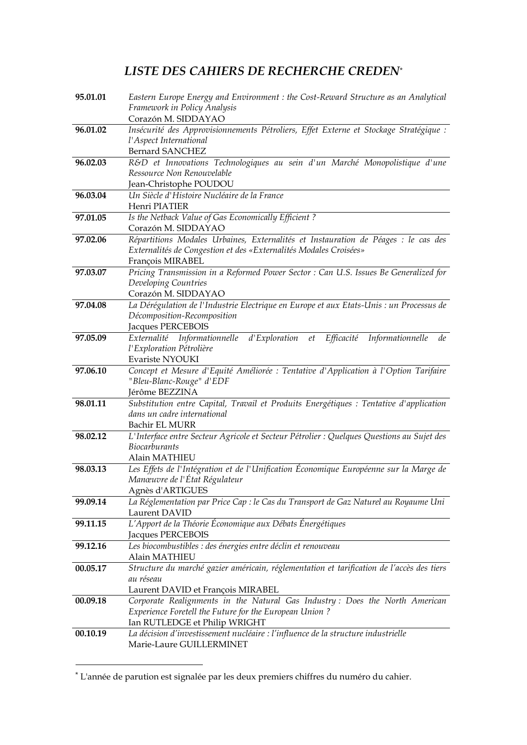## *LISTE DES CAHIERS DE RECHERCHE CREDEN*\*

| 95.01.01 | Eastern Europe Energy and Environment : the Cost-Reward Structure as an Analytical          |
|----------|---------------------------------------------------------------------------------------------|
|          | Framework in Policy Analysis                                                                |
|          | Corazón M. SIDDAYAO                                                                         |
| 96.01.02 | Insécurité des Approvisionnements Pétroliers, Effet Externe et Stockage Stratégique :       |
|          | l'Aspect International                                                                      |
|          | <b>Bernard SANCHEZ</b>                                                                      |
| 96.02.03 | R&D et Innovations Technologiques au sein d'un Marché Monopolistique d'une                  |
|          | Ressource Non Renouvelable                                                                  |
|          | Jean-Christophe POUDOU                                                                      |
| 96.03.04 | Un Siècle d'Histoire Nucléaire de la France                                                 |
|          | Henri PIATIER                                                                               |
| 97.01.05 | Is the Netback Value of Gas Economically Efficient?                                         |
|          | Corazón M. SIDDAYAO                                                                         |
| 97.02.06 | Répartitions Modales Urbaines, Externalités et Instauration de Péages : le cas des          |
|          | Externalités de Congestion et des «Externalités Modales Croisées»                           |
|          | François MIRABEL                                                                            |
| 97.03.07 | Pricing Transmission in a Reformed Power Sector : Can U.S. Issues Be Generalized for        |
|          | Developing Countries<br>Corazón M. SIDDAYAO                                                 |
| 97.04.08 | La Dérégulation de l'Industrie Electrique en Europe et aux Etats-Unis : un Processus de     |
|          | Décomposition-Recomposition                                                                 |
|          | Jacques PERCEBOIS                                                                           |
| 97.05.09 | d'Exploration<br>Informationnelle<br>Externalité Informationnelle<br>Efficacité<br>et<br>de |
|          | l'Exploration Pétrolière                                                                    |
|          | Evariste NYOUKI                                                                             |
| 97.06.10 | Concept et Mesure d'Equité Améliorée : Tentative d'Application à l'Option Tarifaire         |
|          | "Bleu-Blanc-Rouge" d'EDF                                                                    |
|          | Jérôme BEZZINA                                                                              |
| 98.01.11 | Substitution entre Capital, Travail et Produits Energétiques : Tentative d'application      |
|          | dans un cadre international                                                                 |
|          | <b>Bachir EL MURR</b>                                                                       |
| 98.02.12 | L'Interface entre Secteur Agricole et Secteur Pétrolier : Quelques Questions au Sujet des   |
|          | <b>Biocarburants</b>                                                                        |
|          | Alain MATHIEU                                                                               |
| 98.03.13 | Les Effets de l'Intégration et de l'Unification Économique Européenne sur la Marge de       |
|          | Manœuvre de l'État Régulateur                                                               |
|          | Agnès d'ARTIGUES                                                                            |
| 99.09.14 | La Réglementation par Price Cap : le Cas du Transport de Gaz Naturel au Royaume Uni         |
|          | Laurent DAVID<br>L'Apport de la Théorie Économique aux Débats Énergétiques                  |
| 99.11.15 | Jacques PERCEBOIS                                                                           |
| 99.12.16 | Les biocombustibles : des énergies entre déclin et renouveau                                |
|          | Alain MATHIEU                                                                               |
| 00.05.17 | Structure du marché gazier américain, réglementation et tarification de l'accès des tiers   |
|          | au réseau                                                                                   |
|          | Laurent DAVID et François MIRABEL                                                           |
| 00.09.18 | Corporate Realignments in the Natural Gas Industry: Does the North American                 |
|          | Experience Foretell the Future for the European Union?                                      |
|          | Ian RUTLEDGE et Philip WRIGHT                                                               |
| 00.10.19 | La décision d'investissement nucléaire : l'influence de la structure industrielle           |
|          | Marie-Laure GUILLERMINET                                                                    |
|          |                                                                                             |

-

<sup>\*</sup> L'année de parution est signalée par les deux premiers chiffres du numéro du cahier.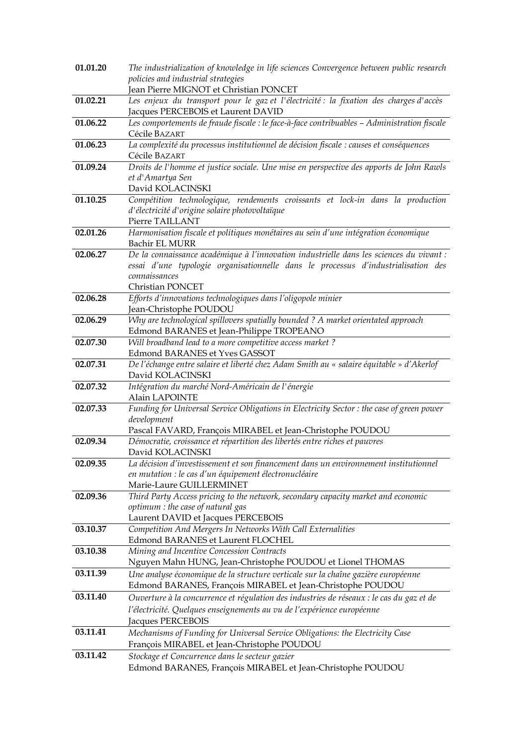| 01.01.20 | The industrialization of knowledge in life sciences Convergence between public research                      |
|----------|--------------------------------------------------------------------------------------------------------------|
|          | policies and industrial strategies                                                                           |
|          | Jean Pierre MIGNOT et Christian PONCET                                                                       |
| 01.02.21 | Les enjeux du transport pour le gaz et l'électricité : la fixation des charges d'accès                       |
|          | Jacques PERCEBOIS et Laurent DAVID                                                                           |
| 01.06.22 | Les comportements de fraude fiscale : le face-à-face contribuables - Administration fiscale<br>Cécile BAZART |
| 01.06.23 | La complexité du processus institutionnel de décision fiscale : causes et conséquences                       |
|          | Cécile BAZART                                                                                                |
| 01.09.24 | Droits de l'homme et justice sociale. Une mise en perspective des apports de John Rawls                      |
|          | et d'Amartya Sen                                                                                             |
|          | David KOLACINSKI                                                                                             |
| 01.10.25 | Compétition technologique, rendements croissants et lock-in dans la production                               |
|          | d'électricité d'origine solaire photovoltaïque                                                               |
|          | Pierre TAILLANT                                                                                              |
| 02.01.26 | Harmonisation fiscale et politiques monétaires au sein d'une intégration économique                          |
|          | <b>Bachir EL MURR</b>                                                                                        |
| 02.06.27 | De la connaissance académique à l'innovation industrielle dans les sciences du vivant :                      |
|          | essai d'une typologie organisationnelle dans le processus d'industrialisation des<br>connaissances           |
|          | Christian PONCET                                                                                             |
| 02.06.28 | Efforts d'innovations technologiques dans l'oligopole minier                                                 |
|          | Jean-Christophe POUDOU                                                                                       |
| 02.06.29 | Why are technological spillovers spatially bounded? A market orientated approach                             |
|          | Edmond BARANES et Jean-Philippe TROPEANO                                                                     |
| 02.07.30 | Will broadband lead to a more competitive access market?                                                     |
|          | Edmond BARANES et Yves GASSOT                                                                                |
| 02.07.31 | De l'échange entre salaire et liberté chez Adam Smith au « salaire équitable » d'Akerlof                     |
|          | David KOLACINSKI                                                                                             |
| 02.07.32 | Intégration du marché Nord-Américain de l'énergie                                                            |
| 02.07.33 | Alain LAPOINTE<br>Funding for Universal Service Obligations in Electricity Sector : the case of green power  |
|          | development                                                                                                  |
|          | Pascal FAVARD, François MIRABEL et Jean-Christophe POUDOU                                                    |
| 02.09.34 | Démocratie, croissance et répartition des libertés entre riches et pauvres                                   |
|          | David KOLACINSKI                                                                                             |
| 02.09.35 | La décision d'investissement et son financement dans un environnement institutionnel                         |
|          | en mutation : le cas d'un équipement électronucléaire                                                        |
|          | Marie-Laure GUILLERMINET                                                                                     |
| 02.09.36 | Third Party Access pricing to the network, secondary capacity market and economic                            |
|          | optimum : the case of natural gas<br>Laurent DAVID et Jacques PERCEBOIS                                      |
| 03.10.37 | Competition And Mergers In Networks With Call Externalities                                                  |
|          | Edmond BARANES et Laurent FLOCHEL                                                                            |
| 03.10.38 | Mining and Incentive Concession Contracts                                                                    |
|          | Nguyen Mahn HUNG, Jean-Christophe POUDOU et Lionel THOMAS                                                    |
| 03.11.39 | Une analyse économique de la structure verticale sur la chaîne gazière européenne                            |
|          | Edmond BARANES, François MIRABEL et Jean-Christophe POUDOU                                                   |
| 03.11.40 | Ouverture à la concurrence et régulation des industries de réseaux : le cas du gaz et de                     |
|          | l'électricité. Quelques enseignements au vu de l'expérience européenne                                       |
|          | Jacques PERCEBOIS                                                                                            |
| 03.11.41 | Mechanisms of Funding for Universal Service Obligations: the Electricity Case                                |
|          | François MIRABEL et Jean-Christophe POUDOU                                                                   |
| 03.11.42 | Stockage et Concurrence dans le secteur gazier                                                               |
|          | Edmond BARANES, François MIRABEL et Jean-Christophe POUDOU                                                   |
|          |                                                                                                              |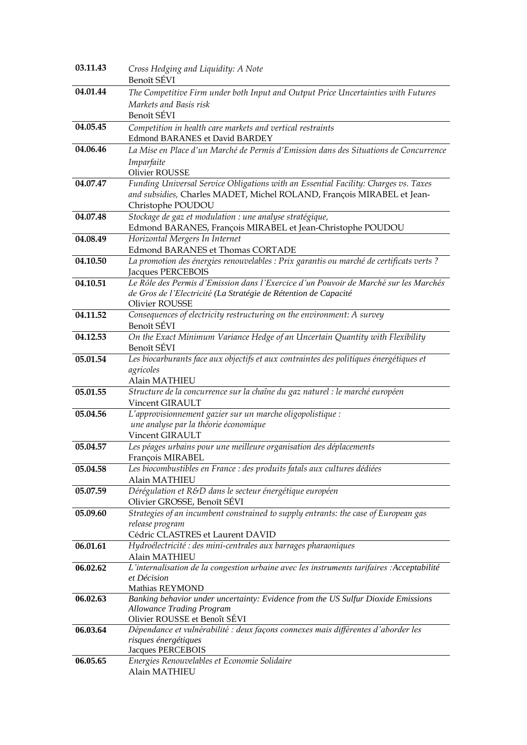| 03.11.43 | Cross Hedging and Liquidity: A Note                                                                       |
|----------|-----------------------------------------------------------------------------------------------------------|
|          | Benoît SÉVI                                                                                               |
| 04.01.44 | The Competitive Firm under both Input and Output Price Uncertainties with Futures                         |
|          | Markets and Basis risk                                                                                    |
|          | Benoît SÉVI                                                                                               |
| 04.05.45 | Competition in health care markets and vertical restraints                                                |
|          | <b>Edmond BARANES et David BARDEY</b>                                                                     |
| 04.06.46 | La Mise en Place d'un Marché de Permis d'Emission dans des Situations de Concurrence                      |
|          | Imparfaite                                                                                                |
|          | <b>Olivier ROUSSE</b>                                                                                     |
| 04.07.47 | Funding Universal Service Obligations with an Essential Facility: Charges vs. Taxes                       |
|          | and subsidies, Charles MADET, Michel ROLAND, François MIRABEL et Jean-                                    |
|          | Christophe POUDOU                                                                                         |
| 04.07.48 | Stockage de gaz et modulation : une analyse stratégique,                                                  |
|          | Edmond BARANES, François MIRABEL et Jean-Christophe POUDOU                                                |
| 04.08.49 | Horizontal Mergers In Internet                                                                            |
|          | <b>Edmond BARANES et Thomas CORTADE</b>                                                                   |
| 04.10.50 | La promotion des énergies renouvelables : Prix garantis ou marché de certificats verts ?                  |
|          | Jacques PERCEBOIS<br>Le Rôle des Permis d'Emission dans l'Exercice d'un Pouvoir de Marché sur les Marchés |
| 04.10.51 | de Gros de l'Electricité (La Stratégie de Rétention de Capacité                                           |
|          | Olivier ROUSSE                                                                                            |
| 04.11.52 | Consequences of electricity restructuring on the environment: A survey                                    |
|          | Benoît SÉVI                                                                                               |
| 04.12.53 | On the Exact Minimum Variance Hedge of an Uncertain Quantity with Flexibility                             |
|          | Benoît SÉVI                                                                                               |
| 05.01.54 | Les biocarburants face aux objectifs et aux contraintes des politiques énergétiques et                    |
|          | agricoles                                                                                                 |
|          | Alain MATHIEU                                                                                             |
| 05.01.55 | Structure de la concurrence sur la chaîne du gaz naturel : le marché européen                             |
|          | Vincent GIRAULT                                                                                           |
| 05.04.56 | L'approvisionnement gazier sur un marche oligopolistique :                                                |
|          | une analyse par la théorie économique                                                                     |
| 05.04.57 | Vincent GIRAULT<br>Les péages urbains pour une meilleure organisation des déplacements                    |
|          | François MIRABEL                                                                                          |
| 05.04.58 | Les biocombustibles en France : des produits fatals aux cultures dédiées                                  |
|          | Alain MATHIEU                                                                                             |
| 05.07.59 | Dérégulation et R&D dans le secteur énergétique européen                                                  |
|          | Olivier GROSSE, Benoît SÉVI                                                                               |
| 05.09.60 | Strategies of an incumbent constrained to supply entrants: the case of European gas                       |
|          | release program                                                                                           |
|          | Cédric CLASTRES et Laurent DAVID                                                                          |
| 06.01.61 | Hydroélectricité : des mini-centrales aux barrages pharaoniques                                           |
|          | Alain MATHIEU                                                                                             |
| 06.02.62 | L'internalisation de la congestion urbaine avec les instruments tarifaires : Acceptabilité                |
|          | et Décision<br>Mathias REYMOND                                                                            |
| 06.02.63 | Banking behavior under uncertainty: Evidence from the US Sulfur Dioxide Emissions                         |
|          | <b>Allowance Trading Program</b>                                                                          |
|          | Olivier ROUSSE et Benoît SÉVI                                                                             |
| 06.03.64 | Dépendance et vulnérabilité : deux façons connexes mais différentes d'aborder les                         |
|          | risques énergétiques                                                                                      |
|          | Jacques PERCEBOIS                                                                                         |
|          |                                                                                                           |
| 06.05.65 | Energies Renouvelables et Economie Solidaire<br>Alain MATHIEU                                             |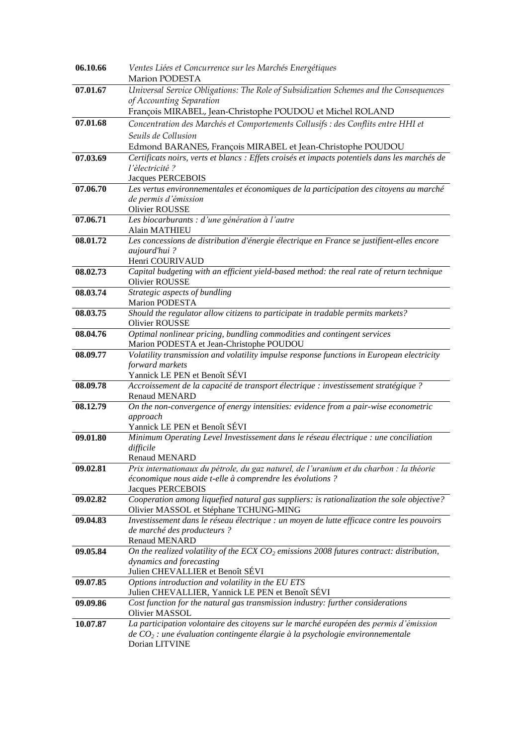| 06.10.66 | Ventes Liées et Concurrence sur les Marchés Energétiques                                                                            |
|----------|-------------------------------------------------------------------------------------------------------------------------------------|
|          | Marion PODESTA                                                                                                                      |
| 07.01.67 | Universal Service Obligations: The Role of Subsidization Schemes and the Consequences                                               |
|          | of Accounting Separation                                                                                                            |
|          | François MIRABEL, Jean-Christophe POUDOU et Michel ROLAND                                                                           |
| 07.01.68 | Concentration des Marchés et Comportements Collusifs : des Conflits entre HHI et                                                    |
|          | Seuils de Collusion                                                                                                                 |
|          | Edmond BARANES, François MIRABEL et Jean-Christophe POUDOU                                                                          |
| 07.03.69 | Certificats noirs, verts et blancs : Effets croisés et impacts potentiels dans les marchés de                                       |
|          | l'électricité ?                                                                                                                     |
|          | <b>Jacques PERCEBOIS</b>                                                                                                            |
| 07.06.70 | Les vertus environnementales et économiques de la participation des citoyens au marché                                              |
|          | de permis d'émission                                                                                                                |
|          | <b>Olivier ROUSSE</b>                                                                                                               |
| 07.06.71 | Les biocarburants : d'une génération à l'autre                                                                                      |
|          | Alain MATHIEU                                                                                                                       |
| 08.01.72 | Les concessions de distribution d'énergie électrique en France se justifient-elles encore                                           |
|          | aujourd'hui?                                                                                                                        |
|          | Henri COURIVAUD                                                                                                                     |
| 08.02.73 | Capital budgeting with an efficient yield-based method: the real rate of return technique                                           |
|          | <b>Olivier ROUSSE</b>                                                                                                               |
| 08.03.74 | Strategic aspects of bundling                                                                                                       |
|          | <b>Marion PODESTA</b>                                                                                                               |
| 08.03.75 | Should the regulator allow citizens to participate in tradable permits markets?                                                     |
|          | Olivier ROUSSE                                                                                                                      |
| 08.04.76 | Optimal nonlinear pricing, bundling commodities and contingent services                                                             |
|          | Marion PODESTA et Jean-Christophe POUDOU                                                                                            |
| 08.09.77 | Volatility transmission and volatility impulse response functions in European electricity                                           |
|          | forward markets                                                                                                                     |
|          | Yannick LE PEN et Benoît SÉVI                                                                                                       |
| 08.09.78 | Accroissement de la capacité de transport électrique : investissement stratégique ?                                                 |
|          | Renaud MENARD                                                                                                                       |
| 08.12.79 | On the non-convergence of energy intensities: evidence from a pair-wise econometric                                                 |
|          | approach                                                                                                                            |
|          | Yannick LE PEN et Benoît SÉVI                                                                                                       |
| 09.01.80 | Minimum Operating Level Investissement dans le réseau électrique : une conciliation                                                 |
|          | difficile                                                                                                                           |
|          | <b>Renaud MENARD</b>                                                                                                                |
| 09.02.81 | Prix internationaux du pétrole, du gaz naturel, de l'uranium et du charbon : la théorie                                             |
|          | économique nous aide t-elle à comprendre les évolutions ?                                                                           |
|          | Jacques PERCEBOIS                                                                                                                   |
| 09.02.82 | Cooperation among liquefied natural gas suppliers: is rationalization the sole objective?                                           |
| 09.04.83 | Olivier MASSOL et Stéphane TCHUNG-MING<br>Investissement dans le réseau électrique : un moyen de lutte efficace contre les pouvoirs |
|          | de marché des producteurs ?                                                                                                         |
|          | Renaud MENARD                                                                                                                       |
| 09.05.84 | On the realized volatility of the ECX $CO2$ emissions 2008 futures contract: distribution,                                          |
|          | dynamics and forecasting                                                                                                            |
|          | Julien CHEVALLIER et Benoît SÉVI                                                                                                    |
| 09.07.85 | Options introduction and volatility in the EU ETS                                                                                   |
|          | Julien CHEVALLIER, Yannick LE PEN et Benoît SÉVI                                                                                    |
| 09.09.86 | Cost function for the natural gas transmission industry: further considerations                                                     |
|          | Olivier MASSOL                                                                                                                      |
| 10.07.87 | La participation volontaire des citoyens sur le marché européen des permis d'émission                                               |
|          | de $CO_2$ : une évaluation contingente élargie à la psychologie environnementale                                                    |
|          | Dorian LITVINE                                                                                                                      |